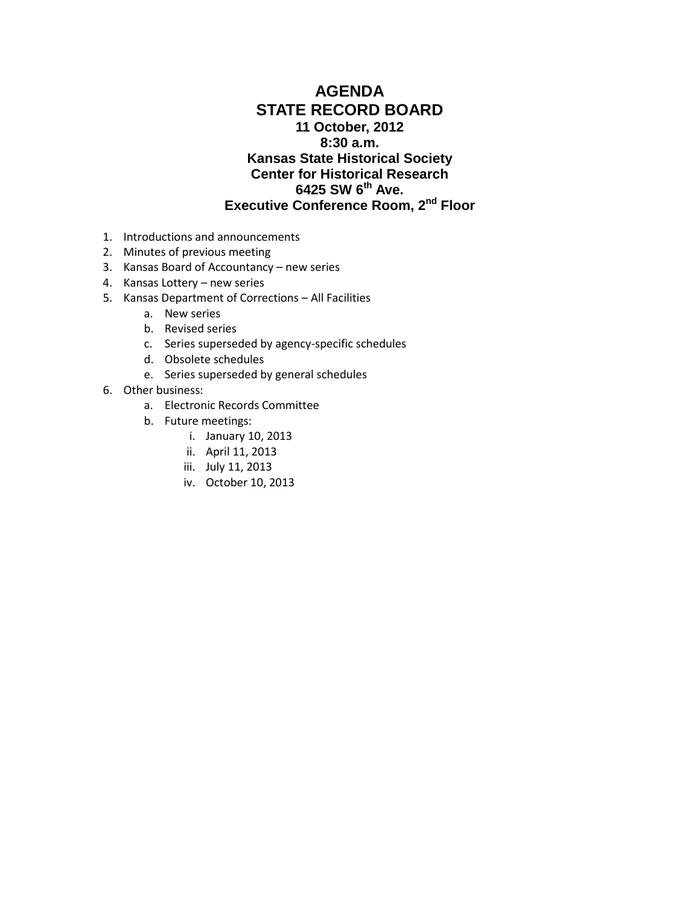## **AGENDA STATE RECORD BOARD 11 October, 2012 8:30 a.m. Kansas State Historical Society Center for Historical Research 6425 SW 6th Ave. Executive Conference Room, 2nd Floor**

- 1. Introductions and announcements
- 2. Minutes of previous meeting
- 3. Kansas Board of Accountancy new series
- 4. Kansas Lottery new series
- 5. Kansas Department of Corrections All Facilities
	- a. New series
	- b. Revised series
	- c. Series superseded by agency-specific schedules
	- d. Obsolete schedules
	- e. Series superseded by general schedules
- 6. Other business:
	- a. Electronic Records Committee
	- b. Future meetings:
		- i. January 10, 2013
		- ii. April 11, 2013
		- iii. July 11, 2013
		- iv. October 10, 2013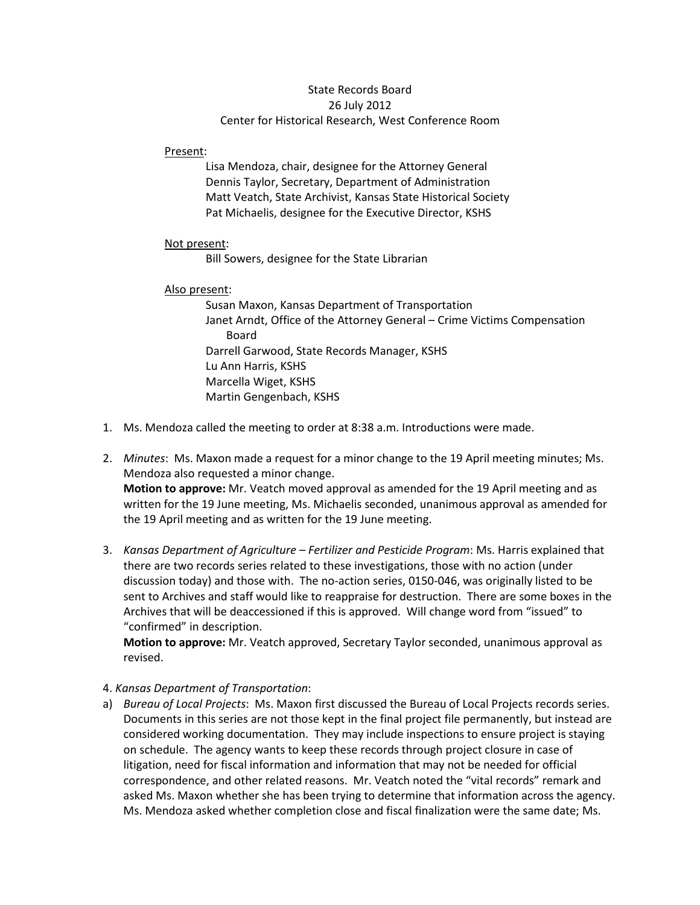### State Records Board 26 July 2012 Center for Historical Research, West Conference Room

Present:

Lisa Mendoza, chair, designee for the Attorney General Dennis Taylor, Secretary, Department of Administration Matt Veatch, State Archivist, Kansas State Historical Society Pat Michaelis, designee for the Executive Director, KSHS

#### Not present:

Bill Sowers, designee for the State Librarian

### Also present:

Susan Maxon, Kansas Department of Transportation Janet Arndt, Office of the Attorney General – Crime Victims Compensation Board Darrell Garwood, State Records Manager, KSHS Lu Ann Harris, KSHS Marcella Wiget, KSHS Martin Gengenbach, KSHS

- 1. Ms. Mendoza called the meeting to order at 8:38 a.m. Introductions were made.
- 2. *Minutes*: Ms. Maxon made a request for a minor change to the 19 April meeting minutes; Ms. Mendoza also requested a minor change. **Motion to approve:** Mr. Veatch moved approval as amended for the 19 April meeting and as written for the 19 June meeting, Ms. Michaelis seconded, unanimous approval as amended for the 19 April meeting and as written for the 19 June meeting.
- 3. *Kansas Department of Agriculture – Fertilizer and Pesticide Program*: Ms. Harris explained that there are two records series related to these investigations, those with no action (under discussion today) and those with. The no-action series, 0150-046, was originally listed to be sent to Archives and staff would like to reappraise for destruction. There are some boxes in the Archives that will be deaccessioned if this is approved. Will change word from "issued" to "confirmed" in description.

**Motion to approve:** Mr. Veatch approved, Secretary Taylor seconded, unanimous approval as revised.

## 4. *Kansas Department of Transportation*:

a) *Bureau of Local Projects*: Ms. Maxon first discussed the Bureau of Local Projects records series. Documents in this series are not those kept in the final project file permanently, but instead are considered working documentation. They may include inspections to ensure project is staying on schedule. The agency wants to keep these records through project closure in case of litigation, need for fiscal information and information that may not be needed for official correspondence, and other related reasons. Mr. Veatch noted the "vital records" remark and asked Ms. Maxon whether she has been trying to determine that information across the agency. Ms. Mendoza asked whether completion close and fiscal finalization were the same date; Ms.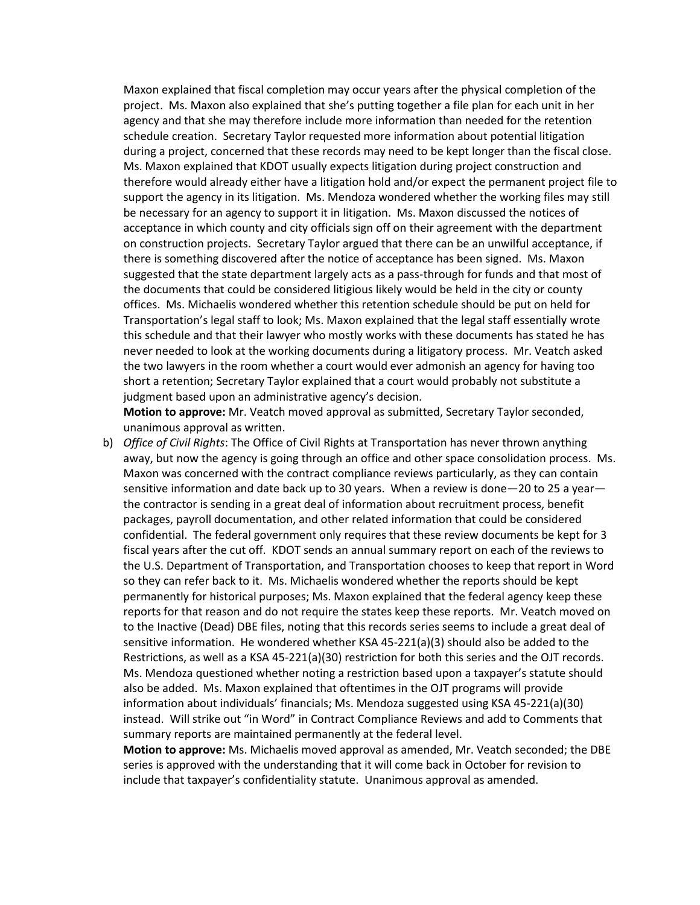Maxon explained that fiscal completion may occur years after the physical completion of the project. Ms. Maxon also explained that she's putting together a file plan for each unit in her agency and that she may therefore include more information than needed for the retention schedule creation. Secretary Taylor requested more information about potential litigation during a project, concerned that these records may need to be kept longer than the fiscal close. Ms. Maxon explained that KDOT usually expects litigation during project construction and therefore would already either have a litigation hold and/or expect the permanent project file to support the agency in its litigation. Ms. Mendoza wondered whether the working files may still be necessary for an agency to support it in litigation. Ms. Maxon discussed the notices of acceptance in which county and city officials sign off on their agreement with the department on construction projects. Secretary Taylor argued that there can be an unwilful acceptance, if there is something discovered after the notice of acceptance has been signed. Ms. Maxon suggested that the state department largely acts as a pass-through for funds and that most of the documents that could be considered litigious likely would be held in the city or county offices. Ms. Michaelis wondered whether this retention schedule should be put on held for Transportation's legal staff to look; Ms. Maxon explained that the legal staff essentially wrote this schedule and that their lawyer who mostly works with these documents has stated he has never needed to look at the working documents during a litigatory process. Mr. Veatch asked the two lawyers in the room whether a court would ever admonish an agency for having too short a retention; Secretary Taylor explained that a court would probably not substitute a judgment based upon an administrative agency's decision.

**Motion to approve:** Mr. Veatch moved approval as submitted, Secretary Taylor seconded, unanimous approval as written.

b) *Office of Civil Rights*: The Office of Civil Rights at Transportation has never thrown anything away, but now the agency is going through an office and other space consolidation process. Ms. Maxon was concerned with the contract compliance reviews particularly, as they can contain sensitive information and date back up to 30 years. When a review is done—20 to 25 a year the contractor is sending in a great deal of information about recruitment process, benefit packages, payroll documentation, and other related information that could be considered confidential. The federal government only requires that these review documents be kept for 3 fiscal years after the cut off. KDOT sends an annual summary report on each of the reviews to the U.S. Department of Transportation, and Transportation chooses to keep that report in Word so they can refer back to it. Ms. Michaelis wondered whether the reports should be kept permanently for historical purposes; Ms. Maxon explained that the federal agency keep these reports for that reason and do not require the states keep these reports. Mr. Veatch moved on to the Inactive (Dead) DBE files, noting that this records series seems to include a great deal of sensitive information. He wondered whether KSA 45-221(a)(3) should also be added to the Restrictions, as well as a KSA 45-221(a)(30) restriction for both this series and the OJT records. Ms. Mendoza questioned whether noting a restriction based upon a taxpayer's statute should also be added. Ms. Maxon explained that oftentimes in the OJT programs will provide information about individuals' financials; Ms. Mendoza suggested using KSA 45-221(a)(30) instead. Will strike out "in Word" in Contract Compliance Reviews and add to Comments that summary reports are maintained permanently at the federal level.

**Motion to approve:** Ms. Michaelis moved approval as amended, Mr. Veatch seconded; the DBE series is approved with the understanding that it will come back in October for revision to include that taxpayer's confidentiality statute. Unanimous approval as amended.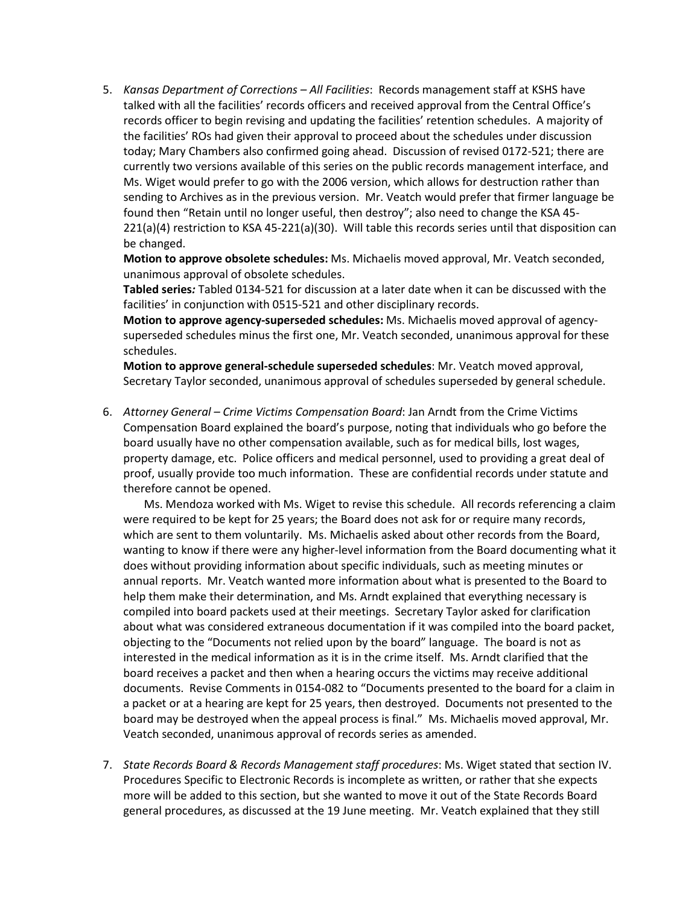5. *Kansas Department of Corrections – All Facilities*: Records management staff at KSHS have talked with all the facilities' records officers and received approval from the Central Office's records officer to begin revising and updating the facilities' retention schedules. A majority of the facilities' ROs had given their approval to proceed about the schedules under discussion today; Mary Chambers also confirmed going ahead. Discussion of revised 0172-521; there are currently two versions available of this series on the public records management interface, and Ms. Wiget would prefer to go with the 2006 version, which allows for destruction rather than sending to Archives as in the previous version. Mr. Veatch would prefer that firmer language be found then "Retain until no longer useful, then destroy"; also need to change the KSA 45- 221(a)(4) restriction to KSA 45-221(a)(30). Will table this records series until that disposition can be changed.

**Motion to approve obsolete schedules:** Ms. Michaelis moved approval, Mr. Veatch seconded, unanimous approval of obsolete schedules.

**Tabled series***:* Tabled 0134-521 for discussion at a later date when it can be discussed with the facilities' in conjunction with 0515-521 and other disciplinary records.

**Motion to approve agency-superseded schedules:** Ms. Michaelis moved approval of agencysuperseded schedules minus the first one, Mr. Veatch seconded, unanimous approval for these schedules.

**Motion to approve general-schedule superseded schedules**: Mr. Veatch moved approval, Secretary Taylor seconded, unanimous approval of schedules superseded by general schedule.

6. *Attorney General – Crime Victims Compensation Board*: Jan Arndt from the Crime Victims Compensation Board explained the board's purpose, noting that individuals who go before the board usually have no other compensation available, such as for medical bills, lost wages, property damage, etc. Police officers and medical personnel, used to providing a great deal of proof, usually provide too much information. These are confidential records under statute and therefore cannot be opened.

Ms. Mendoza worked with Ms. Wiget to revise this schedule. All records referencing a claim were required to be kept for 25 years; the Board does not ask for or require many records, which are sent to them voluntarily. Ms. Michaelis asked about other records from the Board, wanting to know if there were any higher-level information from the Board documenting what it does without providing information about specific individuals, such as meeting minutes or annual reports. Mr. Veatch wanted more information about what is presented to the Board to help them make their determination, and Ms. Arndt explained that everything necessary is compiled into board packets used at their meetings. Secretary Taylor asked for clarification about what was considered extraneous documentation if it was compiled into the board packet, objecting to the "Documents not relied upon by the board" language. The board is not as interested in the medical information as it is in the crime itself. Ms. Arndt clarified that the board receives a packet and then when a hearing occurs the victims may receive additional documents. Revise Comments in 0154-082 to "Documents presented to the board for a claim in a packet or at a hearing are kept for 25 years, then destroyed. Documents not presented to the board may be destroyed when the appeal process is final." Ms. Michaelis moved approval, Mr. Veatch seconded, unanimous approval of records series as amended.

7. *State Records Board & Records Management staff procedures*: Ms. Wiget stated that section IV. Procedures Specific to Electronic Records is incomplete as written, or rather that she expects more will be added to this section, but she wanted to move it out of the State Records Board general procedures, as discussed at the 19 June meeting. Mr. Veatch explained that they still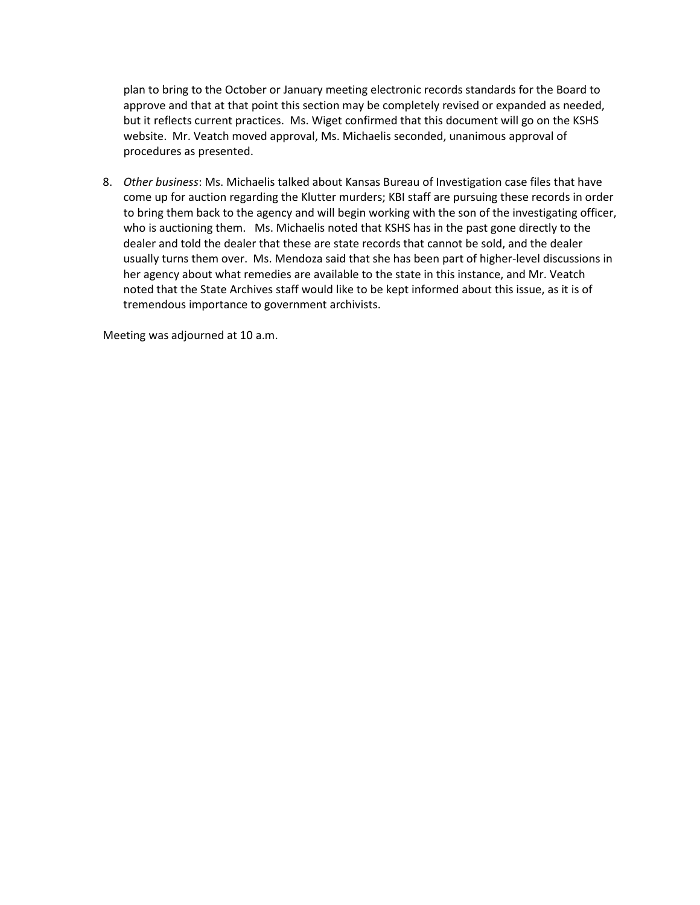plan to bring to the October or January meeting electronic records standards for the Board to approve and that at that point this section may be completely revised or expanded as needed, but it reflects current practices. Ms. Wiget confirmed that this document will go on the KSHS website. Mr. Veatch moved approval, Ms. Michaelis seconded, unanimous approval of procedures as presented.

8. *Other business*: Ms. Michaelis talked about Kansas Bureau of Investigation case files that have come up for auction regarding the Klutter murders; KBI staff are pursuing these records in order to bring them back to the agency and will begin working with the son of the investigating officer, who is auctioning them. Ms. Michaelis noted that KSHS has in the past gone directly to the dealer and told the dealer that these are state records that cannot be sold, and the dealer usually turns them over. Ms. Mendoza said that she has been part of higher-level discussions in her agency about what remedies are available to the state in this instance, and Mr. Veatch noted that the State Archives staff would like to be kept informed about this issue, as it is of tremendous importance to government archivists.

Meeting was adjourned at 10 a.m.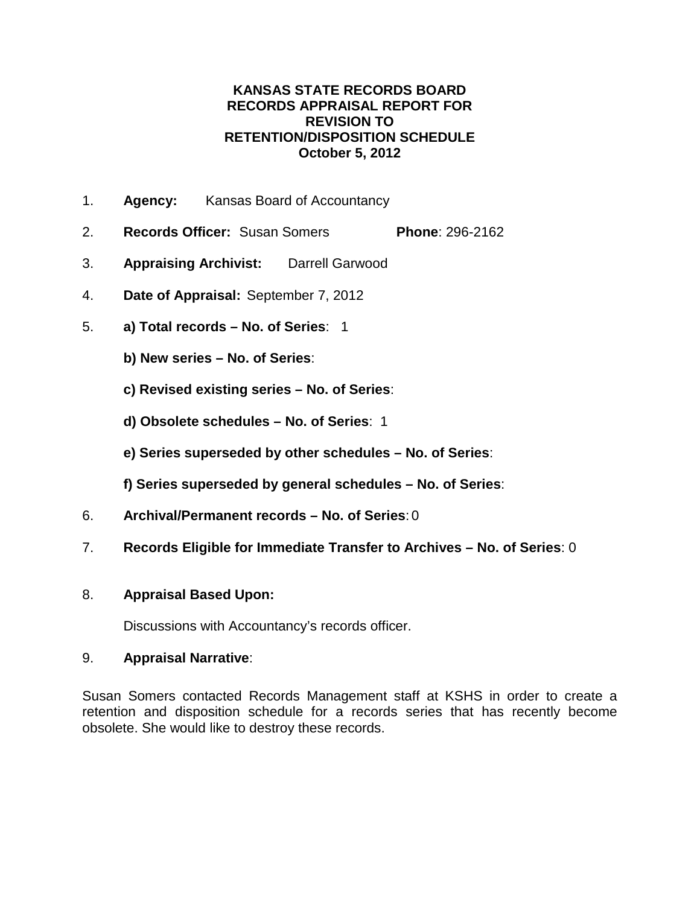## **KANSAS STATE RECORDS BOARD RECORDS APPRAISAL REPORT FOR REVISION TO RETENTION/DISPOSITION SCHEDULE October 5, 2012**

- 1. **Agency:** Kansas Board of Accountancy
- 2. **Records Officer:** Susan Somers **Phone**: 296-2162
- 3. **Appraising Archivist:** Darrell Garwood
- 4. **Date of Appraisal:** September 7, 2012
- 5. **a) Total records – No. of Series**: 1
	- **b) New series – No. of Series**:
	- **c) Revised existing series – No. of Series**:
	- **d) Obsolete schedules – No. of Series**: 1
	- **e) Series superseded by other schedules – No. of Series**:
	- **f) Series superseded by general schedules – No. of Series**:
- 6. **Archival/Permanent records – No. of Series**: 0
- 7. **Records Eligible for Immediate Transfer to Archives – No. of Series**: 0

## 8. **Appraisal Based Upon:**

Discussions with Accountancy's records officer.

## 9. **Appraisal Narrative**:

Susan Somers contacted Records Management staff at KSHS in order to create a retention and disposition schedule for a records series that has recently become obsolete. She would like to destroy these records.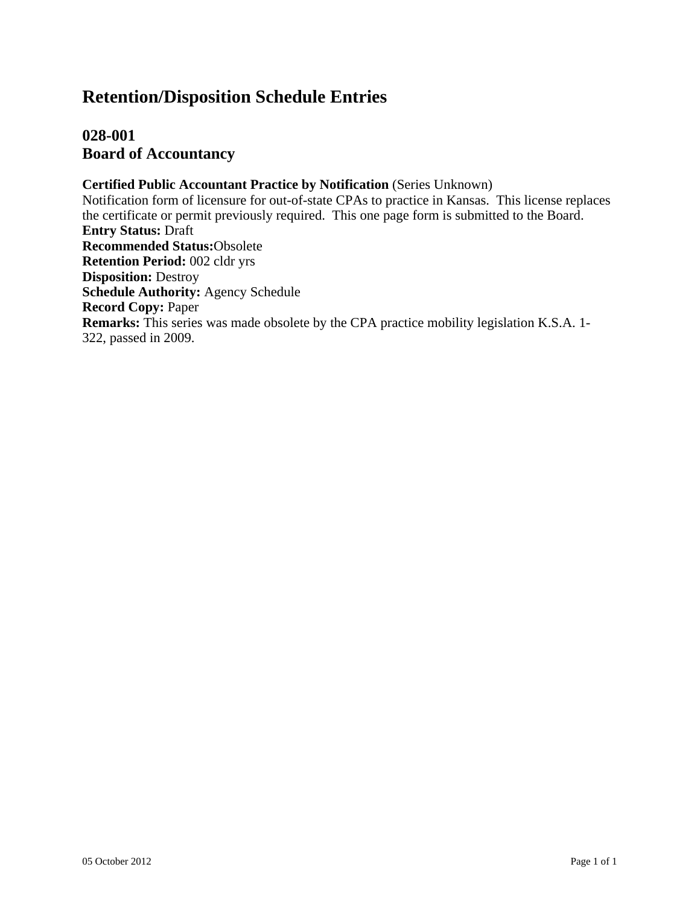# **Retention/Disposition Schedule Entries**

## **028-001 Board of Accountancy**

**Certified Public Accountant Practice by Notification** (Series Unknown) Notification form of licensure for out-of-state CPAs to practice in Kansas. This license replaces the certificate or permit previously required. This one page form is submitted to the Board. **Entry Status:** Draft **Recommended Status:**Obsolete **Retention Period:** 002 cldr yrs **Disposition:** Destroy **Schedule Authority:** Agency Schedule **Record Copy:** Paper **Remarks:** This series was made obsolete by the CPA practice mobility legislation K.S.A. 1- 322, passed in 2009.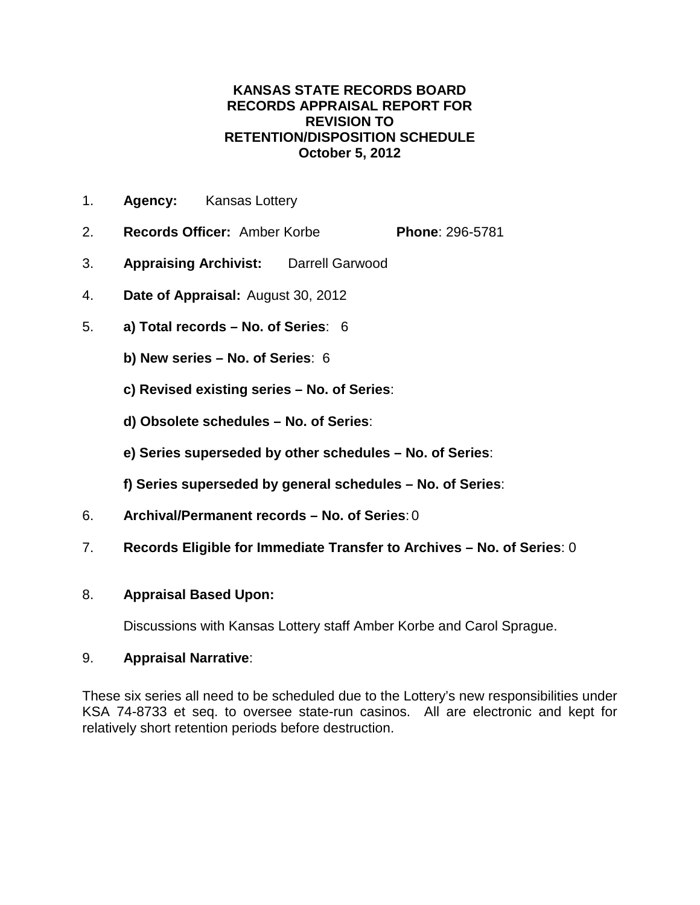## **KANSAS STATE RECORDS BOARD RECORDS APPRAISAL REPORT FOR REVISION TO RETENTION/DISPOSITION SCHEDULE October 5, 2012**

- 1. **Agency:** Kansas Lottery
- 2. **Records Officer:** Amber Korbe **Phone**: 296-5781
- 3. **Appraising Archivist:** Darrell Garwood
- 4. **Date of Appraisal:** August 30, 2012
- 5. **a) Total records – No. of Series**: 6
	- **b) New series – No. of Series**: 6
	- **c) Revised existing series – No. of Series**:
	- **d) Obsolete schedules – No. of Series**:
	- **e) Series superseded by other schedules – No. of Series**:
	- **f) Series superseded by general schedules – No. of Series**:
- 6. **Archival/Permanent records – No. of Series**: 0
- 7. **Records Eligible for Immediate Transfer to Archives – No. of Series**: 0

## 8. **Appraisal Based Upon:**

Discussions with Kansas Lottery staff Amber Korbe and Carol Sprague.

## 9. **Appraisal Narrative**:

These six series all need to be scheduled due to the Lottery's new responsibilities under KSA 74-8733 et seq. to oversee state-run casinos. All are electronic and kept for relatively short retention periods before destruction.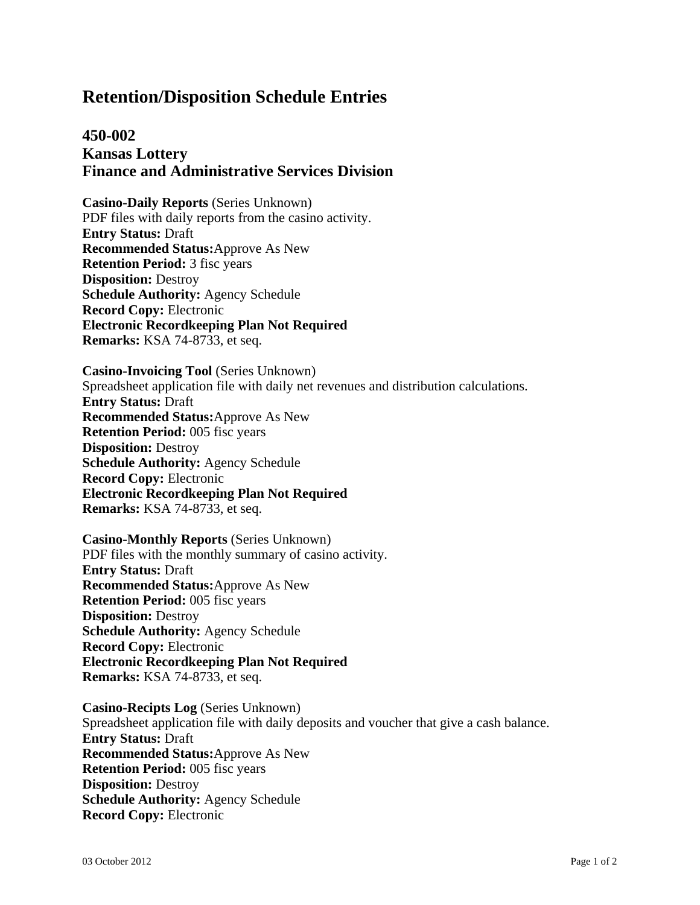# **Retention/Disposition Schedule Entries**

## **450-002 Kansas Lottery Finance and Administrative Services Division**

**Casino-Daily Reports** (Series Unknown) PDF files with daily reports from the casino activity. **Entry Status:** Draft **Recommended Status:**Approve As New **Retention Period:** 3 fisc years **Disposition:** Destroy **Schedule Authority:** Agency Schedule **Record Copy:** Electronic **Electronic Recordkeeping Plan Not Required Remarks:** KSA 74-8733, et seq.

**Casino-Invoicing Tool** (Series Unknown) Spreadsheet application file with daily net revenues and distribution calculations. **Entry Status:** Draft **Recommended Status:**Approve As New **Retention Period:** 005 fisc years **Disposition:** Destroy **Schedule Authority:** Agency Schedule **Record Copy:** Electronic **Electronic Recordkeeping Plan Not Required Remarks:** KSA 74-8733, et seq.

**Casino-Monthly Reports** (Series Unknown) PDF files with the monthly summary of casino activity. **Entry Status:** Draft **Recommended Status:**Approve As New **Retention Period:** 005 fisc years **Disposition:** Destroy **Schedule Authority:** Agency Schedule **Record Copy:** Electronic **Electronic Recordkeeping Plan Not Required Remarks:** KSA 74-8733, et seq.

**Casino-Recipts Log** (Series Unknown) Spreadsheet application file with daily deposits and voucher that give a cash balance. **Entry Status:** Draft **Recommended Status:**Approve As New **Retention Period:** 005 fisc years **Disposition:** Destroy **Schedule Authority:** Agency Schedule **Record Copy:** Electronic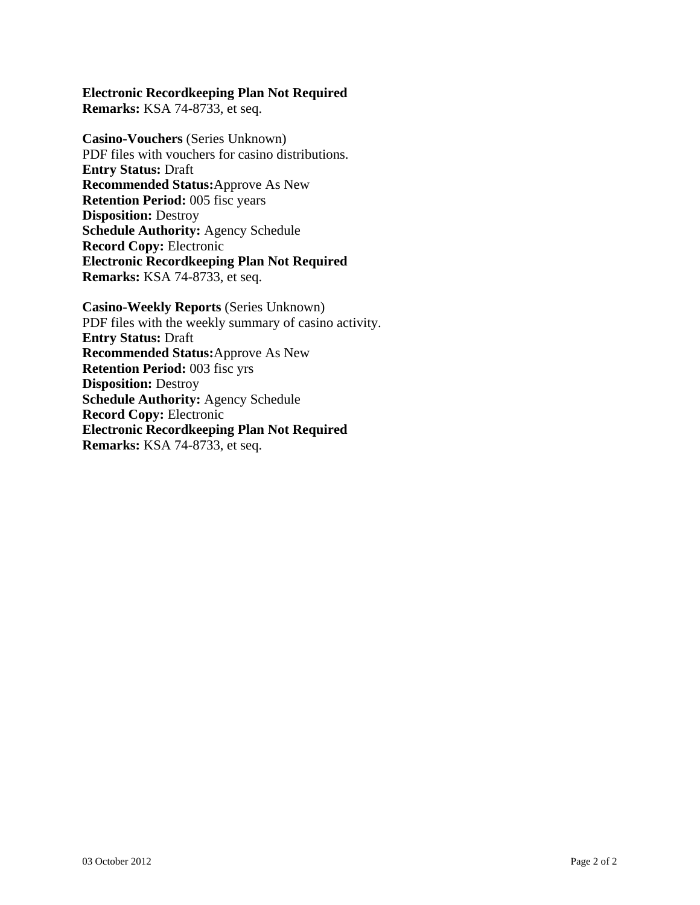# **Electronic Recordkeeping Plan Not Required**

**Remarks:** KSA 74-8733, et seq.

**Casino-Vouchers** (Series Unknown) PDF files with vouchers for casino distributions. **Entry Status:** Draft **Recommended Status:**Approve As New **Retention Period:** 005 fisc years **Disposition:** Destroy **Schedule Authority:** Agency Schedule **Record Copy:** Electronic **Electronic Recordkeeping Plan Not Required Remarks:** KSA 74-8733, et seq.

**Casino-Weekly Reports** (Series Unknown) PDF files with the weekly summary of casino activity. **Entry Status:** Draft **Recommended Status:**Approve As New **Retention Period:** 003 fisc yrs **Disposition:** Destroy **Schedule Authority:** Agency Schedule **Record Copy:** Electronic **Electronic Recordkeeping Plan Not Required Remarks:** KSA 74-8733, et seq.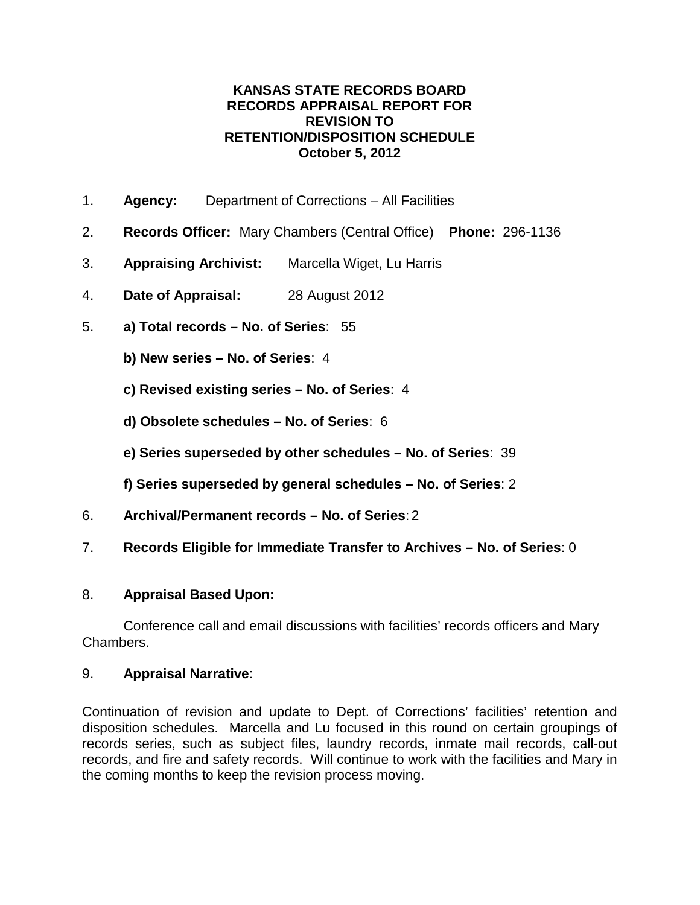## **KANSAS STATE RECORDS BOARD RECORDS APPRAISAL REPORT FOR REVISION TO RETENTION/DISPOSITION SCHEDULE October 5, 2012**

- 1. **Agency:** Department of Corrections All Facilities
- 2. **Records Officer:** Mary Chambers (Central Office) **Phone:** 296-1136
- 3. **Appraising Archivist:** Marcella Wiget, Lu Harris
- 4. **Date of Appraisal:** 28 August 2012
- 5. **a) Total records – No. of Series**: 55
	- **b) New series – No. of Series**: 4
	- **c) Revised existing series – No. of Series**: 4
	- **d) Obsolete schedules – No. of Series**: 6
	- **e) Series superseded by other schedules – No. of Series**: 39
	- **f) Series superseded by general schedules – No. of Series**: 2
- 6. **Archival/Permanent records – No. of Series**: 2
- 7. **Records Eligible for Immediate Transfer to Archives – No. of Series**: 0

## 8. **Appraisal Based Upon:**

Conference call and email discussions with facilities' records officers and Mary Chambers.

## 9. **Appraisal Narrative**:

Continuation of revision and update to Dept. of Corrections' facilities' retention and disposition schedules. Marcella and Lu focused in this round on certain groupings of records series, such as subject files, laundry records, inmate mail records, call-out records, and fire and safety records. Will continue to work with the facilities and Mary in the coming months to keep the revision process moving.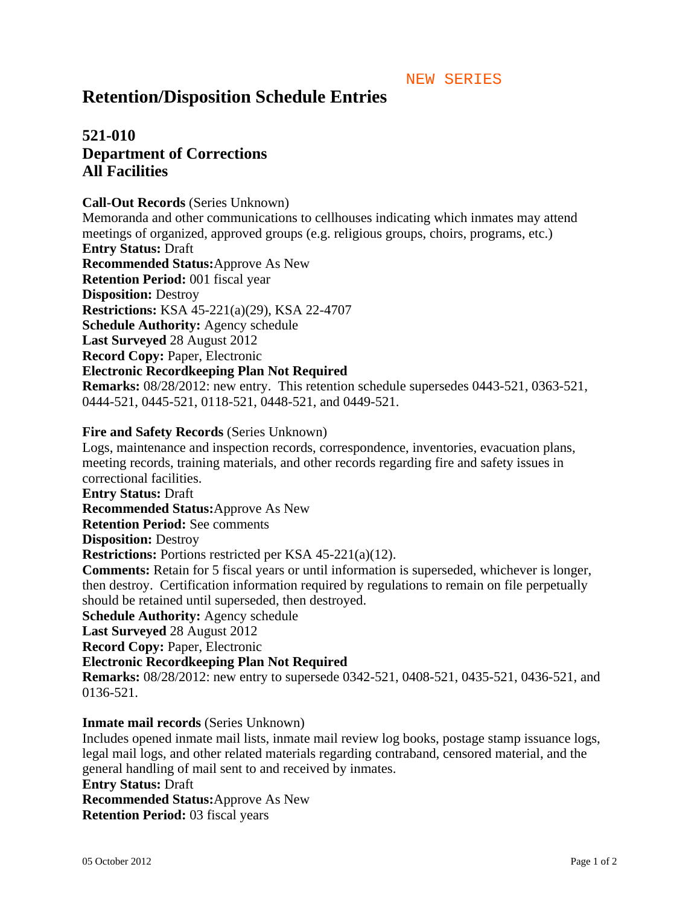#### NEW SERIES

## **Retention/Disposition Schedule Entries**

## **521-010 Department of Corrections All Facilities**

#### **Call-Out Records** (Series Unknown)

Memoranda and other communications to cellhouses indicating which inmates may attend meetings of organized, approved groups (e.g. religious groups, choirs, programs, etc.) **Entry Status:** Draft **Recommended Status:**Approve As New **Retention Period:** 001 fiscal year **Disposition:** Destroy **Restrictions:** KSA 45-221(a)(29), KSA 22-4707 **Schedule Authority:** Agency schedule **Last Surveyed** 28 August 2012 **Record Copy:** Paper, Electronic **Electronic Recordkeeping Plan Not Required Remarks:** 08/28/2012: new entry. This retention schedule supersedes 0443-521, 0363-521, 0444-521, 0445-521, 0118-521, 0448-521, and 0449-521.

### **Fire and Safety Records** (Series Unknown)

Logs, maintenance and inspection records, correspondence, inventories, evacuation plans, meeting records, training materials, and other records regarding fire and safety issues in correctional facilities. **Entry Status:** Draft **Recommended Status:**Approve As New **Retention Period:** See comments **Disposition:** Destroy **Restrictions:** Portions restricted per KSA 45-221(a)(12). **Comments:** Retain for 5 fiscal years or until information is superseded, whichever is longer, then destroy. Certification information required by regulations to remain on file perpetually should be retained until superseded, then destroyed. **Schedule Authority:** Agency schedule **Last Surveyed** 28 August 2012 **Record Copy:** Paper, Electronic **Electronic Recordkeeping Plan Not Required Remarks:** 08/28/2012: new entry to supersede 0342-521, 0408-521, 0435-521, 0436-521, and 0136-521.

## **Inmate mail records** (Series Unknown)

Includes opened inmate mail lists, inmate mail review log books, postage stamp issuance logs, legal mail logs, and other related materials regarding contraband, censored material, and the general handling of mail sent to and received by inmates. **Entry Status:** Draft **Recommended Status:**Approve As New **Retention Period:** 03 fiscal years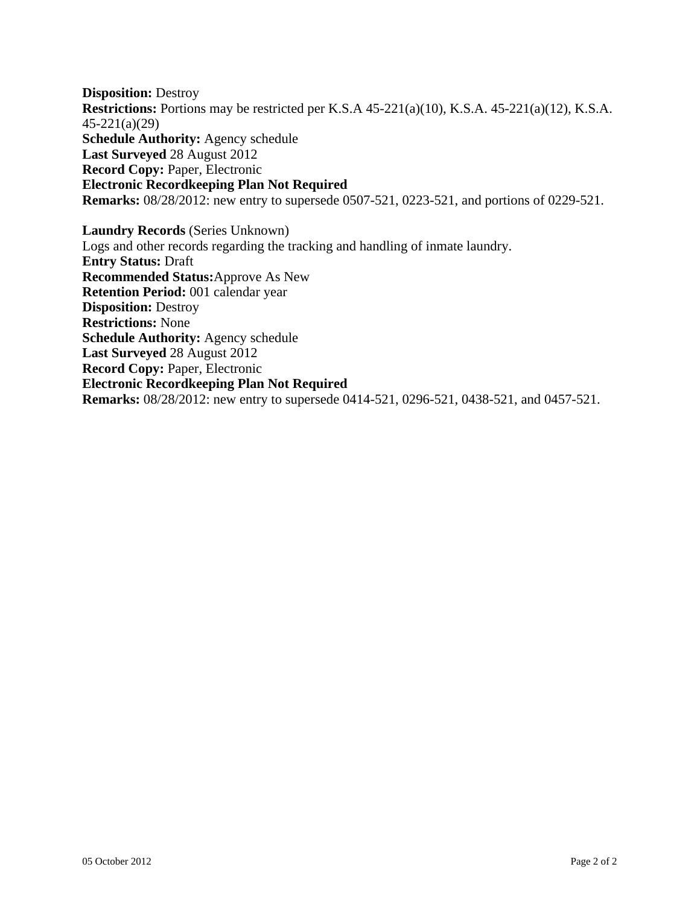**Disposition:** Destroy **Restrictions:** Portions may be restricted per K.S.A 45-221(a)(10), K.S.A. 45-221(a)(12), K.S.A. 45-221(a)(29) **Schedule Authority:** Agency schedule **Last Surveyed** 28 August 2012 **Record Copy:** Paper, Electronic **Electronic Recordkeeping Plan Not Required Remarks:** 08/28/2012: new entry to supersede 0507-521, 0223-521, and portions of 0229-521.

**Laundry Records** (Series Unknown) Logs and other records regarding the tracking and handling of inmate laundry. **Entry Status:** Draft **Recommended Status:**Approve As New **Retention Period:** 001 calendar year **Disposition:** Destroy **Restrictions:** None **Schedule Authority:** Agency schedule **Last Surveyed** 28 August 2012 **Record Copy:** Paper, Electronic **Electronic Recordkeeping Plan Not Required Remarks:** 08/28/2012: new entry to supersede 0414-521, 0296-521, 0438-521, and 0457-521.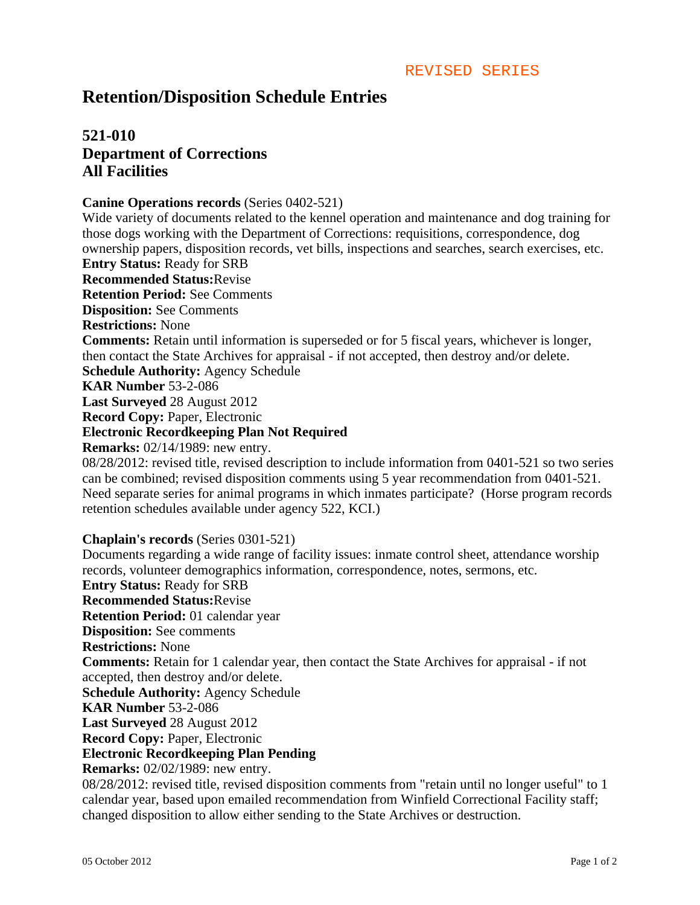# **Retention/Disposition Schedule Entries**

## **521-010 Department of Corrections All Facilities**

#### **Canine Operations records** (Series 0402-521)

Wide variety of documents related to the kennel operation and maintenance and dog training for those dogs working with the Department of Corrections: requisitions, correspondence, dog ownership papers, disposition records, vet bills, inspections and searches, search exercises, etc. **Entry Status:** Ready for SRB **Recommended Status:**Revise **Retention Period:** See Comments **Disposition:** See Comments **Restrictions:** None **Comments:** Retain until information is superseded or for 5 fiscal years, whichever is longer, then contact the State Archives for appraisal - if not accepted, then destroy and/or delete. **Schedule Authority:** Agency Schedule **KAR Number** 53-2-086 **Last Surveyed** 28 August 2012 **Record Copy:** Paper, Electronic **Electronic Recordkeeping Plan Not Required Remarks:** 02/14/1989: new entry. 08/28/2012: revised title, revised description to include information from 0401-521 so two series can be combined; revised disposition comments using 5 year recommendation from 0401-521. Need separate series for animal programs in which inmates participate? (Horse program records retention schedules available under agency 522, KCI.)

#### **Chaplain's records** (Series 0301-521)

Documents regarding a wide range of facility issues: inmate control sheet, attendance worship records, volunteer demographics information, correspondence, notes, sermons, etc. **Entry Status:** Ready for SRB **Recommended Status:**Revise **Retention Period:** 01 calendar year **Disposition:** See comments **Restrictions:** None **Comments:** Retain for 1 calendar year, then contact the State Archives for appraisal - if not accepted, then destroy and/or delete. **Schedule Authority:** Agency Schedule **KAR Number** 53-2-086 **Last Surveyed** 28 August 2012 **Record Copy:** Paper, Electronic **Electronic Recordkeeping Plan Pending Remarks:** 02/02/1989: new entry. 08/28/2012: revised title, revised disposition comments from "retain until no longer useful" to 1 calendar year, based upon emailed recommendation from Winfield Correctional Facility staff; changed disposition to allow either sending to the State Archives or destruction.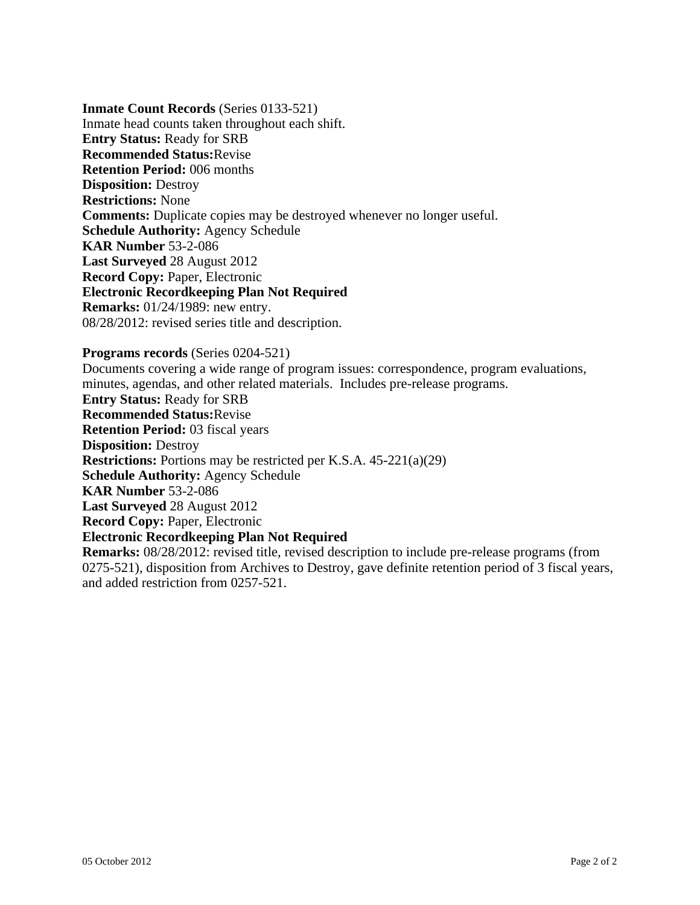**Inmate Count Records** (Series 0133-521) Inmate head counts taken throughout each shift. **Entry Status:** Ready for SRB **Recommended Status:**Revise **Retention Period:** 006 months **Disposition:** Destroy **Restrictions:** None **Comments:** Duplicate copies may be destroyed whenever no longer useful. **Schedule Authority:** Agency Schedule **KAR Number** 53-2-086 **Last Surveyed** 28 August 2012 **Record Copy:** Paper, Electronic **Electronic Recordkeeping Plan Not Required Remarks:** 01/24/1989: new entry. 08/28/2012: revised series title and description.

#### **Programs records** (Series 0204-521)

Documents covering a wide range of program issues: correspondence, program evaluations, minutes, agendas, and other related materials. Includes pre-release programs. **Entry Status:** Ready for SRB **Recommended Status:**Revise **Retention Period:** 03 fiscal years **Disposition:** Destroy **Restrictions:** Portions may be restricted per K.S.A. 45-221(a)(29) **Schedule Authority:** Agency Schedule **KAR Number** 53-2-086 **Last Surveyed** 28 August 2012 **Record Copy:** Paper, Electronic **Electronic Recordkeeping Plan Not Required Remarks:** 08/28/2012: revised title, revised description to include pre-release programs (from 0275-521), disposition from Archives to Destroy, gave definite retention period of 3 fiscal years, and added restriction from 0257-521.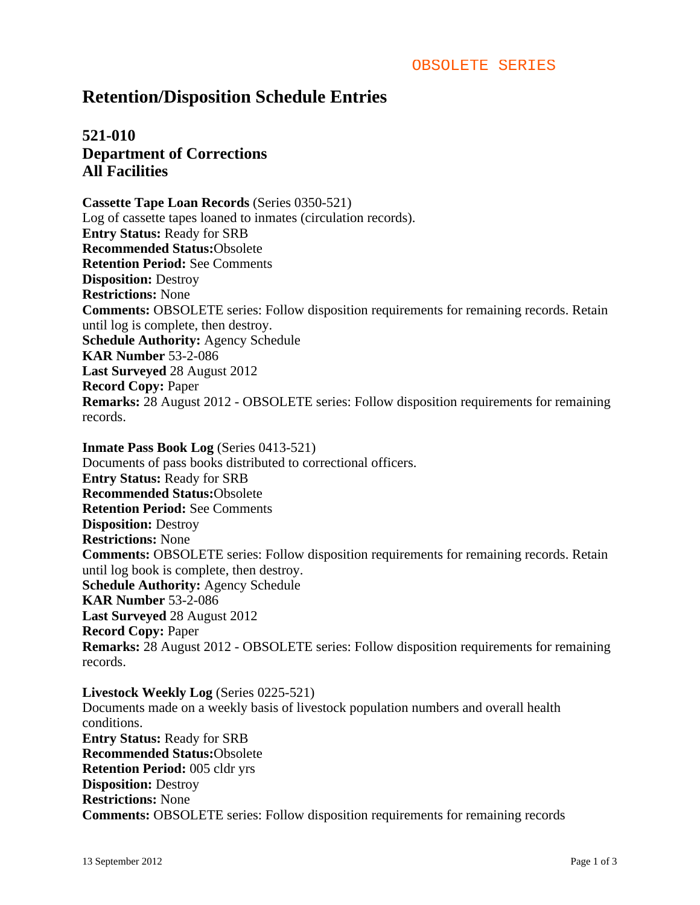## **Retention/Disposition Schedule Entries**

## **521-010 Department of Corrections All Facilities**

**Cassette Tape Loan Records** (Series 0350-521) Log of cassette tapes loaned to inmates (circulation records). **Entry Status:** Ready for SRB **Recommended Status:**Obsolete **Retention Period:** See Comments **Disposition:** Destroy **Restrictions:** None **Comments:** OBSOLETE series: Follow disposition requirements for remaining records. Retain until log is complete, then destroy. **Schedule Authority:** Agency Schedule **KAR Number** 53-2-086 **Last Surveyed** 28 August 2012 **Record Copy:** Paper **Remarks:** 28 August 2012 - OBSOLETE series: Follow disposition requirements for remaining records.

**Inmate Pass Book Log** (Series 0413-521) Documents of pass books distributed to correctional officers. **Entry Status:** Ready for SRB **Recommended Status:**Obsolete **Retention Period:** See Comments **Disposition:** Destroy **Restrictions:** None **Comments:** OBSOLETE series: Follow disposition requirements for remaining records. Retain until log book is complete, then destroy. **Schedule Authority:** Agency Schedule **KAR Number** 53-2-086 **Last Surveyed** 28 August 2012 **Record Copy:** Paper **Remarks:** 28 August 2012 - OBSOLETE series: Follow disposition requirements for remaining records.

**Livestock Weekly Log** (Series 0225-521) Documents made on a weekly basis of livestock population numbers and overall health conditions. **Entry Status:** Ready for SRB **Recommended Status:**Obsolete **Retention Period:** 005 cldr yrs **Disposition:** Destroy **Restrictions:** None **Comments:** OBSOLETE series: Follow disposition requirements for remaining records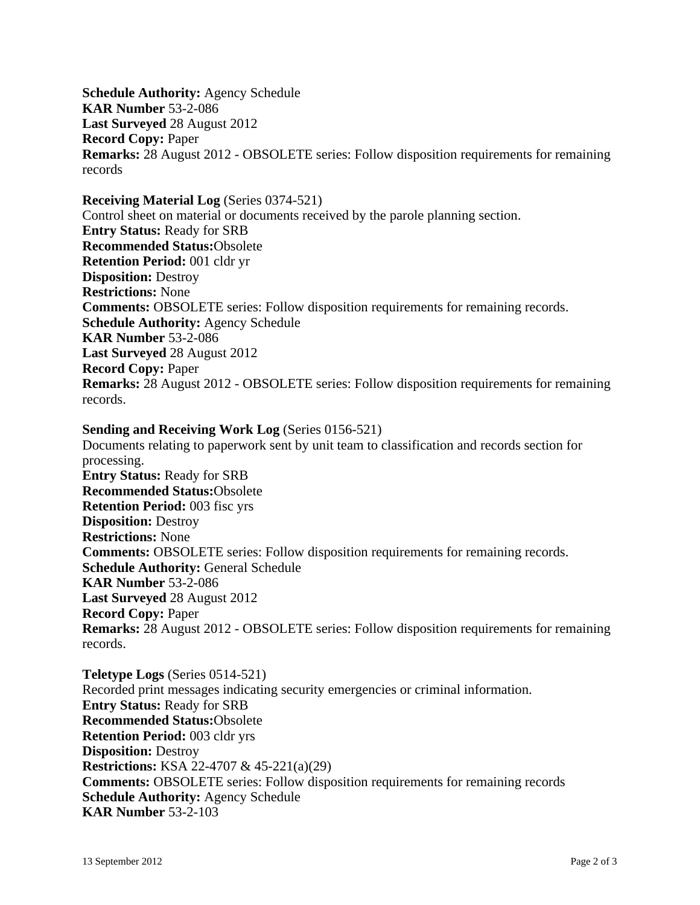**Schedule Authority:** Agency Schedule **KAR Number** 53-2-086 **Last Surveyed** 28 August 2012 **Record Copy:** Paper **Remarks:** 28 August 2012 - OBSOLETE series: Follow disposition requirements for remaining records

#### **Receiving Material Log** (Series 0374-521)

Control sheet on material or documents received by the parole planning section. **Entry Status:** Ready for SRB **Recommended Status:**Obsolete **Retention Period:** 001 cldr yr **Disposition:** Destroy **Restrictions:** None **Comments:** OBSOLETE series: Follow disposition requirements for remaining records. **Schedule Authority:** Agency Schedule **KAR Number** 53-2-086 **Last Surveyed** 28 August 2012 **Record Copy:** Paper **Remarks:** 28 August 2012 - OBSOLETE series: Follow disposition requirements for remaining records.

## **Sending and Receiving Work Log** (Series 0156-521)

Documents relating to paperwork sent by unit team to classification and records section for processing. **Entry Status:** Ready for SRB **Recommended Status:**Obsolete **Retention Period:** 003 fisc yrs **Disposition:** Destroy **Restrictions:** None **Comments:** OBSOLETE series: Follow disposition requirements for remaining records. **Schedule Authority:** General Schedule **KAR Number** 53-2-086 **Last Surveyed** 28 August 2012 **Record Copy:** Paper **Remarks:** 28 August 2012 - OBSOLETE series: Follow disposition requirements for remaining records.

**Teletype Logs** (Series 0514-521) Recorded print messages indicating security emergencies or criminal information. **Entry Status:** Ready for SRB **Recommended Status:**Obsolete **Retention Period:** 003 cldr yrs **Disposition:** Destroy **Restrictions:** KSA 22-4707 & 45-221(a)(29) **Comments:** OBSOLETE series: Follow disposition requirements for remaining records **Schedule Authority:** Agency Schedule **KAR Number** 53-2-103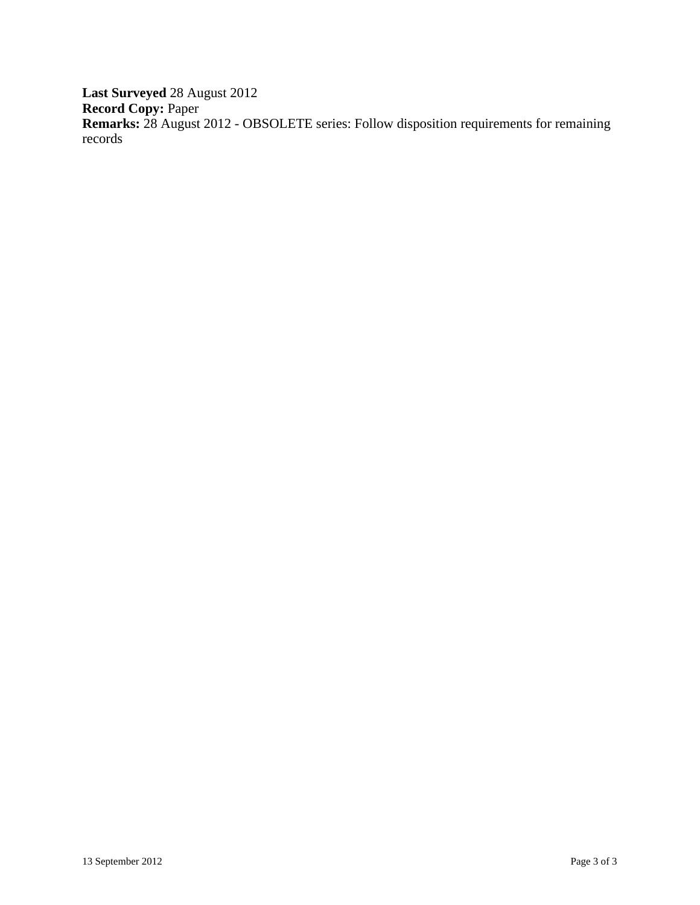**Last Surveyed** 28 August 2012 **Record Copy:** Paper **Remarks:** 28 August 2012 - OBSOLETE series: Follow disposition requirements for remaining records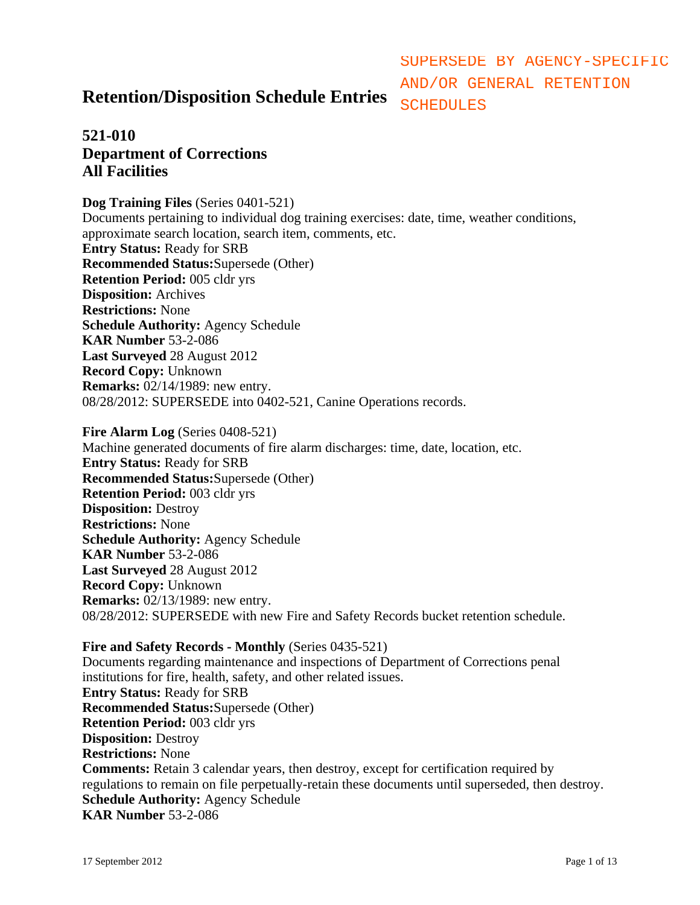# **Retention/Disposition Schedule Entries**

AND/OR GENERAL RETENTION **SCHEDULES** 

SUPERSEDE BY AGENCY-SPECIFIC

## **521-010 Department of Corrections All Facilities**

**Dog Training Files** (Series 0401-521) Documents pertaining to individual dog training exercises: date, time, weather conditions, approximate search location, search item, comments, etc. **Entry Status:** Ready for SRB **Recommended Status:**Supersede (Other) **Retention Period:** 005 cldr yrs **Disposition:** Archives **Restrictions:** None **Schedule Authority:** Agency Schedule **KAR Number** 53-2-086 **Last Surveyed** 28 August 2012 **Record Copy:** Unknown **Remarks:** 02/14/1989: new entry. 08/28/2012: SUPERSEDE into 0402-521, Canine Operations records.

**Fire Alarm Log** (Series 0408-521) Machine generated documents of fire alarm discharges: time, date, location, etc. **Entry Status:** Ready for SRB **Recommended Status:**Supersede (Other) **Retention Period:** 003 cldr yrs **Disposition:** Destroy **Restrictions:** None **Schedule Authority:** Agency Schedule **KAR Number** 53-2-086 **Last Surveyed** 28 August 2012 **Record Copy:** Unknown **Remarks:** 02/13/1989: new entry. 08/28/2012: SUPERSEDE with new Fire and Safety Records bucket retention schedule.

**Fire and Safety Records - Monthly** (Series 0435-521) Documents regarding maintenance and inspections of Department of Corrections penal institutions for fire, health, safety, and other related issues. **Entry Status:** Ready for SRB **Recommended Status:**Supersede (Other) **Retention Period:** 003 cldr yrs **Disposition:** Destroy **Restrictions:** None **Comments:** Retain 3 calendar years, then destroy, except for certification required by regulations to remain on file perpetually-retain these documents until superseded, then destroy. **Schedule Authority:** Agency Schedule **KAR Number** 53-2-086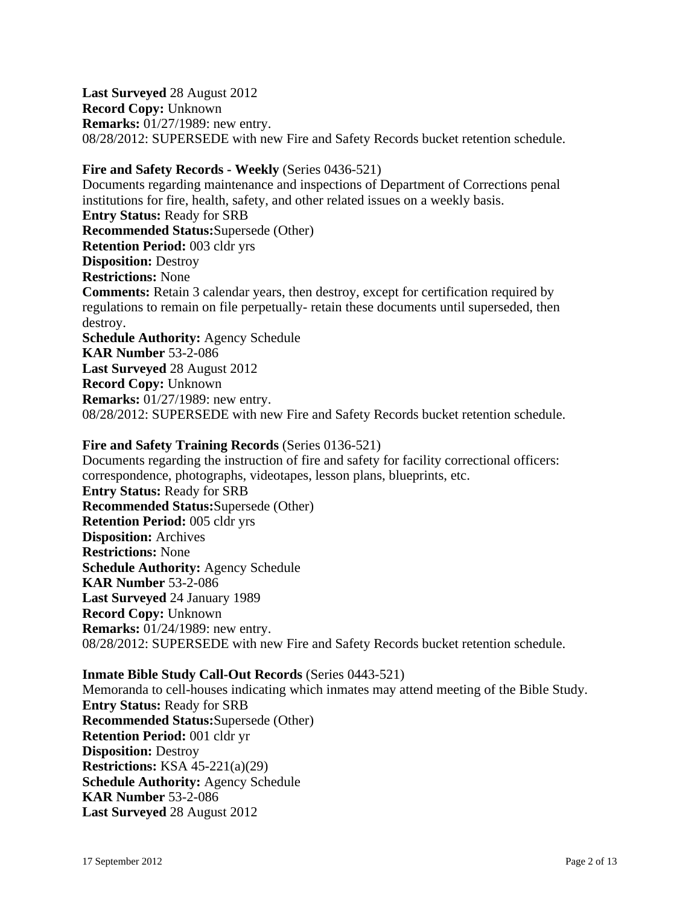**Last Surveyed** 28 August 2012 **Record Copy:** Unknown **Remarks:** 01/27/1989: new entry. 08/28/2012: SUPERSEDE with new Fire and Safety Records bucket retention schedule.

## **Fire and Safety Records - Weekly** (Series 0436-521)

Documents regarding maintenance and inspections of Department of Corrections penal institutions for fire, health, safety, and other related issues on a weekly basis. **Entry Status:** Ready for SRB **Recommended Status:**Supersede (Other) **Retention Period:** 003 cldr yrs **Disposition:** Destroy **Restrictions:** None **Comments:** Retain 3 calendar years, then destroy, except for certification required by regulations to remain on file perpetually- retain these documents until superseded, then destroy. **Schedule Authority:** Agency Schedule **KAR Number** 53-2-086 **Last Surveyed** 28 August 2012 **Record Copy:** Unknown **Remarks:** 01/27/1989: new entry. 08/28/2012: SUPERSEDE with new Fire and Safety Records bucket retention schedule.

### **Fire and Safety Training Records** (Series 0136-521)

Documents regarding the instruction of fire and safety for facility correctional officers: correspondence, photographs, videotapes, lesson plans, blueprints, etc. **Entry Status:** Ready for SRB **Recommended Status:**Supersede (Other) **Retention Period:** 005 cldr yrs **Disposition:** Archives **Restrictions:** None **Schedule Authority:** Agency Schedule **KAR Number** 53-2-086 **Last Surveyed** 24 January 1989 **Record Copy:** Unknown **Remarks:** 01/24/1989: new entry. 08/28/2012: SUPERSEDE with new Fire and Safety Records bucket retention schedule.

#### **Inmate Bible Study Call-Out Records** (Series 0443-521)

Memoranda to cell-houses indicating which inmates may attend meeting of the Bible Study. **Entry Status:** Ready for SRB **Recommended Status:**Supersede (Other) **Retention Period:** 001 cldr yr **Disposition:** Destroy **Restrictions:** KSA 45-221(a)(29) **Schedule Authority:** Agency Schedule **KAR Number** 53-2-086 **Last Surveyed** 28 August 2012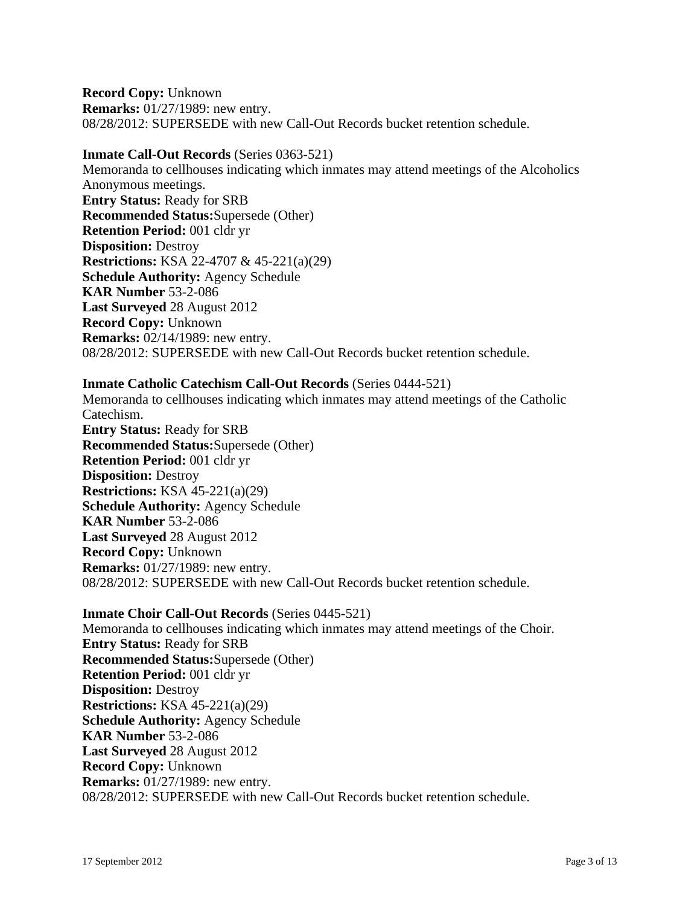**Record Copy:** Unknown **Remarks:** 01/27/1989: new entry. 08/28/2012: SUPERSEDE with new Call-Out Records bucket retention schedule.

### **Inmate Call-Out Records** (Series 0363-521)

Memoranda to cellhouses indicating which inmates may attend meetings of the Alcoholics Anonymous meetings. **Entry Status:** Ready for SRB **Recommended Status:**Supersede (Other) **Retention Period:** 001 cldr yr **Disposition:** Destroy **Restrictions:** KSA 22-4707 & 45-221(a)(29) **Schedule Authority:** Agency Schedule **KAR Number** 53-2-086 **Last Surveyed** 28 August 2012 **Record Copy:** Unknown **Remarks:** 02/14/1989: new entry. 08/28/2012: SUPERSEDE with new Call-Out Records bucket retention schedule.

## **Inmate Catholic Catechism Call-Out Records** (Series 0444-521)

Memoranda to cellhouses indicating which inmates may attend meetings of the Catholic Catechism.

**Entry Status:** Ready for SRB **Recommended Status:**Supersede (Other) **Retention Period:** 001 cldr yr **Disposition:** Destroy **Restrictions:** KSA 45-221(a)(29) **Schedule Authority:** Agency Schedule **KAR Number** 53-2-086 **Last Surveyed** 28 August 2012 **Record Copy:** Unknown **Remarks:** 01/27/1989: new entry. 08/28/2012: SUPERSEDE with new Call-Out Records bucket retention schedule.

### **Inmate Choir Call-Out Records** (Series 0445-521)

Memoranda to cellhouses indicating which inmates may attend meetings of the Choir. **Entry Status:** Ready for SRB **Recommended Status:**Supersede (Other) **Retention Period:** 001 cldr yr **Disposition:** Destroy **Restrictions:** KSA 45-221(a)(29) **Schedule Authority:** Agency Schedule **KAR Number** 53-2-086 **Last Surveyed** 28 August 2012 **Record Copy:** Unknown **Remarks:** 01/27/1989: new entry. 08/28/2012: SUPERSEDE with new Call-Out Records bucket retention schedule.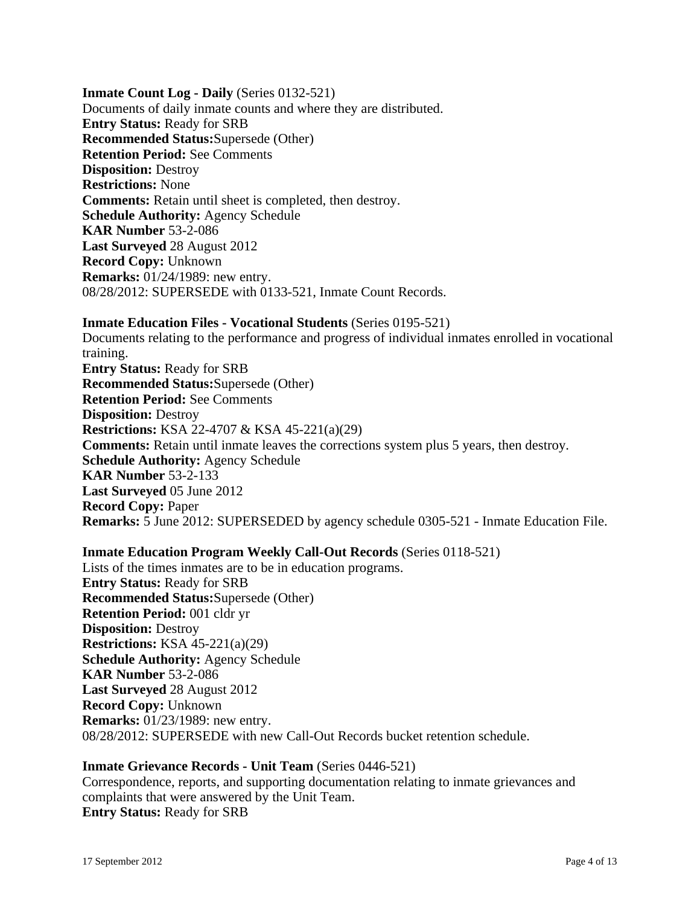**Inmate Count Log - Daily** (Series 0132-521) Documents of daily inmate counts and where they are distributed. **Entry Status:** Ready for SRB **Recommended Status:**Supersede (Other) **Retention Period:** See Comments **Disposition:** Destroy **Restrictions:** None **Comments:** Retain until sheet is completed, then destroy. **Schedule Authority:** Agency Schedule **KAR Number** 53-2-086 **Last Surveyed** 28 August 2012 **Record Copy:** Unknown **Remarks:** 01/24/1989: new entry. 08/28/2012: SUPERSEDE with 0133-521, Inmate Count Records.

### **Inmate Education Files - Vocational Students** (Series 0195-521)

Documents relating to the performance and progress of individual inmates enrolled in vocational training. **Entry Status:** Ready for SRB **Recommended Status:**Supersede (Other) **Retention Period:** See Comments **Disposition:** Destroy **Restrictions:** KSA 22-4707 & KSA 45-221(a)(29) **Comments:** Retain until inmate leaves the corrections system plus 5 years, then destroy. **Schedule Authority:** Agency Schedule **KAR Number** 53-2-133 **Last Surveyed** 05 June 2012 **Record Copy:** Paper **Remarks:** 5 June 2012: SUPERSEDED by agency schedule 0305-521 - Inmate Education File.

## **Inmate Education Program Weekly Call-Out Records** (Series 0118-521)

Lists of the times inmates are to be in education programs. **Entry Status:** Ready for SRB **Recommended Status:**Supersede (Other) **Retention Period:** 001 cldr yr **Disposition:** Destroy **Restrictions:** KSA 45-221(a)(29) **Schedule Authority:** Agency Schedule **KAR Number** 53-2-086 **Last Surveyed** 28 August 2012 **Record Copy:** Unknown **Remarks:** 01/23/1989: new entry. 08/28/2012: SUPERSEDE with new Call-Out Records bucket retention schedule.

## **Inmate Grievance Records - Unit Team** (Series 0446-521)

Correspondence, reports, and supporting documentation relating to inmate grievances and complaints that were answered by the Unit Team. **Entry Status:** Ready for SRB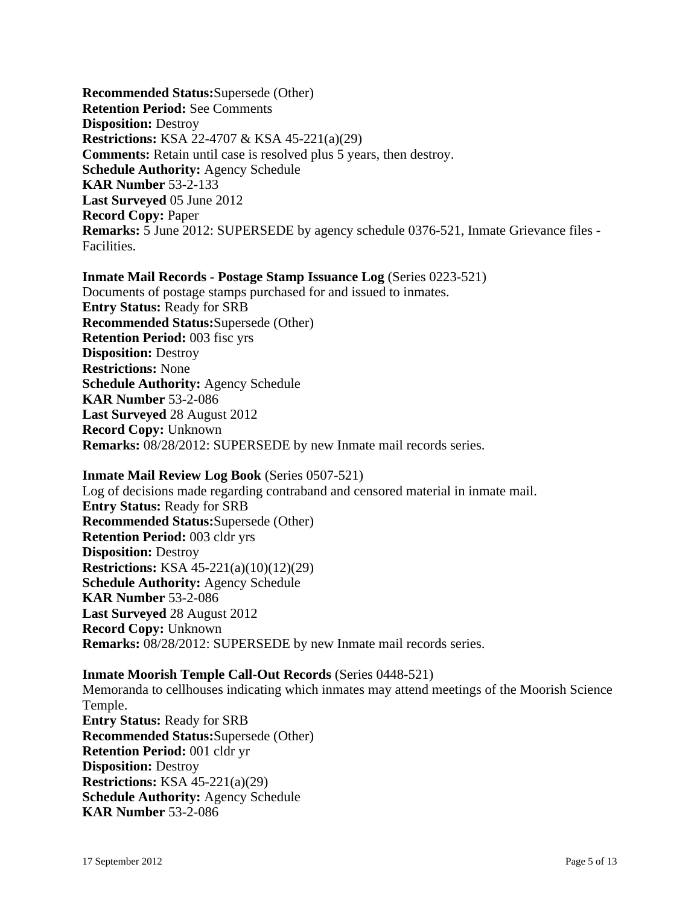**Recommended Status:**Supersede (Other) **Retention Period:** See Comments **Disposition:** Destroy **Restrictions:** KSA 22-4707 & KSA 45-221(a)(29) **Comments:** Retain until case is resolved plus 5 years, then destroy. **Schedule Authority:** Agency Schedule **KAR Number** 53-2-133 **Last Surveyed** 05 June 2012 **Record Copy:** Paper **Remarks:** 5 June 2012: SUPERSEDE by agency schedule 0376-521, Inmate Grievance files - Facilities.

#### **Inmate Mail Records - Postage Stamp Issuance Log** (Series 0223-521)

Documents of postage stamps purchased for and issued to inmates. **Entry Status:** Ready for SRB **Recommended Status:**Supersede (Other) **Retention Period:** 003 fisc yrs **Disposition:** Destroy **Restrictions:** None **Schedule Authority:** Agency Schedule **KAR Number** 53-2-086 **Last Surveyed** 28 August 2012 **Record Copy:** Unknown **Remarks:** 08/28/2012: SUPERSEDE by new Inmate mail records series.

#### **Inmate Mail Review Log Book** (Series 0507-521)

Log of decisions made regarding contraband and censored material in inmate mail. **Entry Status:** Ready for SRB **Recommended Status:**Supersede (Other) **Retention Period:** 003 cldr yrs **Disposition:** Destroy **Restrictions:** KSA 45-221(a)(10)(12)(29) **Schedule Authority:** Agency Schedule **KAR Number** 53-2-086 **Last Surveyed** 28 August 2012 **Record Copy:** Unknown **Remarks:** 08/28/2012: SUPERSEDE by new Inmate mail records series.

#### **Inmate Moorish Temple Call-Out Records** (Series 0448-521)

Memoranda to cellhouses indicating which inmates may attend meetings of the Moorish Science Temple. **Entry Status:** Ready for SRB **Recommended Status:**Supersede (Other) **Retention Period:** 001 cldr yr **Disposition:** Destroy **Restrictions:** KSA 45-221(a)(29) **Schedule Authority:** Agency Schedule **KAR Number** 53-2-086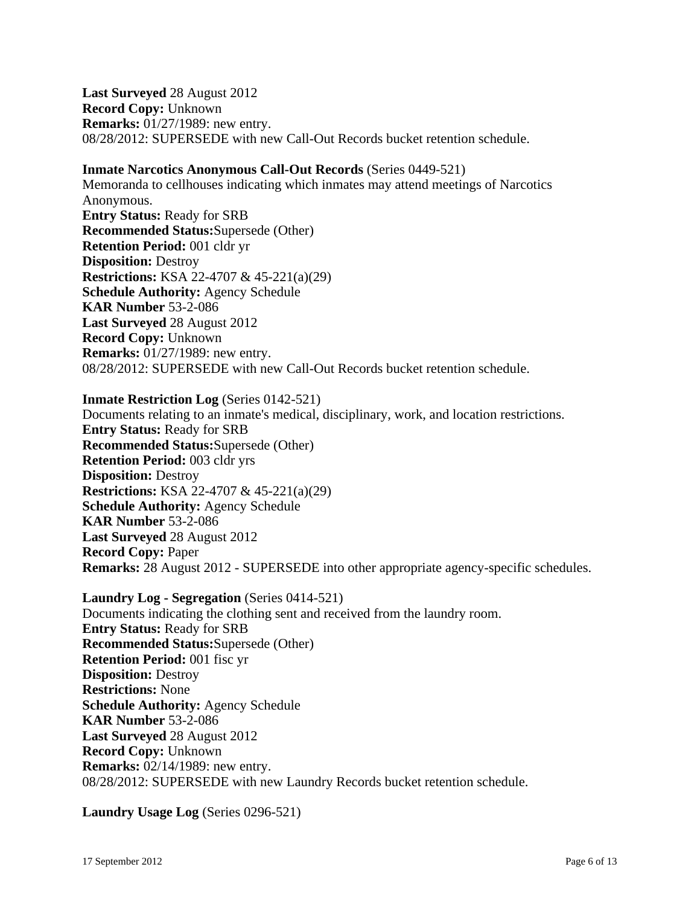**Last Surveyed** 28 August 2012 **Record Copy:** Unknown **Remarks:** 01/27/1989: new entry. 08/28/2012: SUPERSEDE with new Call-Out Records bucket retention schedule.

#### **Inmate Narcotics Anonymous Call-Out Records** (Series 0449-521)

Memoranda to cellhouses indicating which inmates may attend meetings of Narcotics Anonymous. **Entry Status:** Ready for SRB **Recommended Status:**Supersede (Other) **Retention Period:** 001 cldr yr **Disposition:** Destroy **Restrictions:** KSA 22-4707 & 45-221(a)(29) **Schedule Authority:** Agency Schedule **KAR Number** 53-2-086 **Last Surveyed** 28 August 2012 **Record Copy:** Unknown **Remarks:** 01/27/1989: new entry. 08/28/2012: SUPERSEDE with new Call-Out Records bucket retention schedule.

#### **Inmate Restriction Log** (Series 0142-521)

Documents relating to an inmate's medical, disciplinary, work, and location restrictions. **Entry Status:** Ready for SRB **Recommended Status:**Supersede (Other) **Retention Period:** 003 cldr yrs **Disposition:** Destroy **Restrictions:** KSA 22-4707 & 45-221(a)(29) **Schedule Authority:** Agency Schedule **KAR Number** 53-2-086 **Last Surveyed** 28 August 2012 **Record Copy:** Paper **Remarks:** 28 August 2012 - SUPERSEDE into other appropriate agency-specific schedules.

**Laundry Log - Segregation** (Series 0414-521) Documents indicating the clothing sent and received from the laundry room. **Entry Status:** Ready for SRB **Recommended Status:**Supersede (Other) **Retention Period:** 001 fisc yr **Disposition:** Destroy **Restrictions:** None **Schedule Authority:** Agency Schedule **KAR Number** 53-2-086 **Last Surveyed** 28 August 2012 **Record Copy:** Unknown **Remarks:** 02/14/1989: new entry. 08/28/2012: SUPERSEDE with new Laundry Records bucket retention schedule.

**Laundry Usage Log** (Series 0296-521)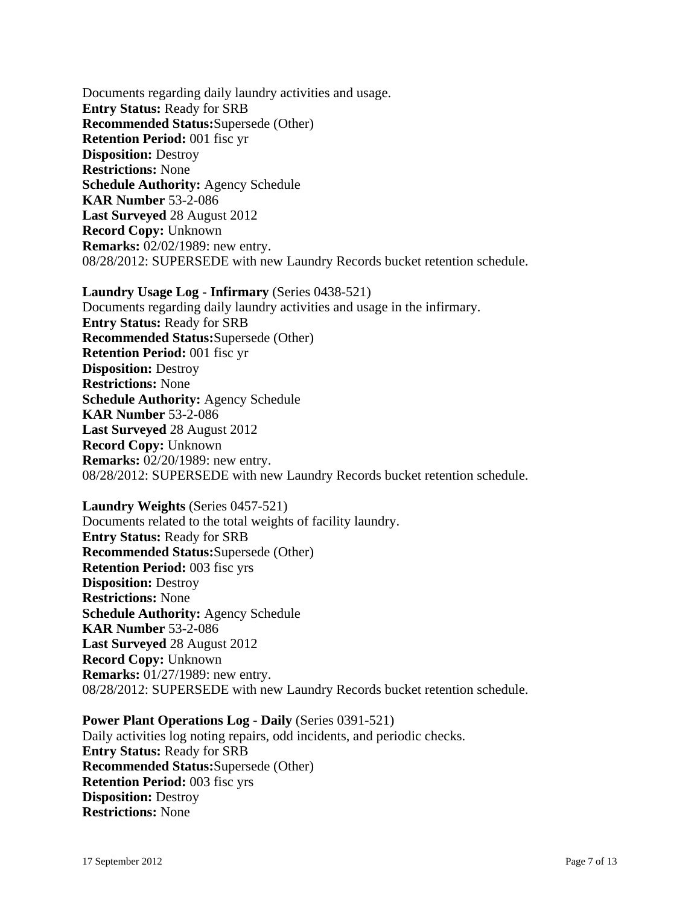Documents regarding daily laundry activities and usage. **Entry Status:** Ready for SRB **Recommended Status:**Supersede (Other) **Retention Period:** 001 fisc yr **Disposition:** Destroy **Restrictions:** None **Schedule Authority:** Agency Schedule **KAR Number** 53-2-086 **Last Surveyed** 28 August 2012 **Record Copy:** Unknown **Remarks:** 02/02/1989: new entry. 08/28/2012: SUPERSEDE with new Laundry Records bucket retention schedule.

**Laundry Usage Log - Infirmary** (Series 0438-521) Documents regarding daily laundry activities and usage in the infirmary. **Entry Status:** Ready for SRB **Recommended Status:**Supersede (Other) **Retention Period:** 001 fisc yr **Disposition:** Destroy **Restrictions:** None **Schedule Authority:** Agency Schedule **KAR Number** 53-2-086 **Last Surveyed** 28 August 2012 **Record Copy:** Unknown **Remarks:** 02/20/1989: new entry. 08/28/2012: SUPERSEDE with new Laundry Records bucket retention schedule.

**Laundry Weights** (Series 0457-521) Documents related to the total weights of facility laundry. **Entry Status:** Ready for SRB **Recommended Status:**Supersede (Other) **Retention Period:** 003 fisc yrs **Disposition:** Destroy **Restrictions:** None **Schedule Authority:** Agency Schedule **KAR Number** 53-2-086 **Last Surveyed** 28 August 2012 **Record Copy:** Unknown **Remarks:** 01/27/1989: new entry. 08/28/2012: SUPERSEDE with new Laundry Records bucket retention schedule.

**Power Plant Operations Log - Daily** (Series 0391-521) Daily activities log noting repairs, odd incidents, and periodic checks. **Entry Status:** Ready for SRB **Recommended Status:**Supersede (Other) **Retention Period:** 003 fisc yrs **Disposition:** Destroy **Restrictions:** None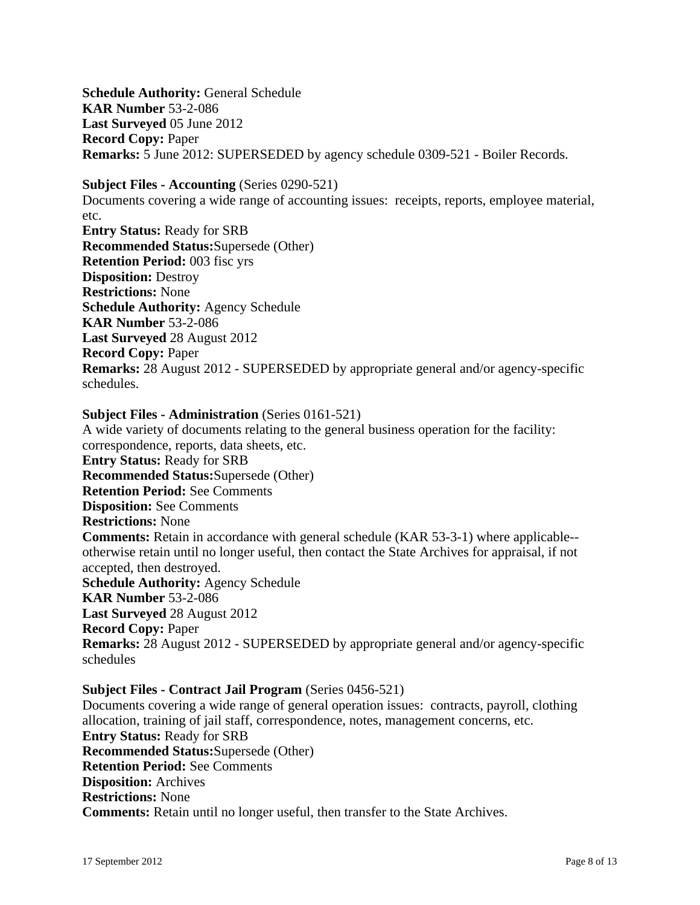**Schedule Authority:** General Schedule **KAR Number** 53-2-086 **Last Surveyed** 05 June 2012 **Record Copy:** Paper **Remarks:** 5 June 2012: SUPERSEDED by agency schedule 0309-521 - Boiler Records.

**Subject Files - Accounting** (Series 0290-521)

Documents covering a wide range of accounting issues: receipts, reports, employee material, etc. **Entry Status:** Ready for SRB **Recommended Status:**Supersede (Other) **Retention Period:** 003 fisc yrs **Disposition:** Destroy **Restrictions:** None **Schedule Authority:** Agency Schedule **KAR Number** 53-2-086 **Last Surveyed** 28 August 2012 **Record Copy:** Paper **Remarks:** 28 August 2012 - SUPERSEDED by appropriate general and/or agency-specific

schedules.

### **Subject Files - Administration** (Series 0161-521)

A wide variety of documents relating to the general business operation for the facility: correspondence, reports, data sheets, etc. **Entry Status:** Ready for SRB **Recommended Status:**Supersede (Other) **Retention Period:** See Comments **Disposition:** See Comments **Restrictions:** None **Comments:** Retain in accordance with general schedule (KAR 53-3-1) where applicable- otherwise retain until no longer useful, then contact the State Archives for appraisal, if not accepted, then destroyed. **Schedule Authority:** Agency Schedule **KAR Number** 53-2-086 **Last Surveyed** 28 August 2012 **Record Copy:** Paper **Remarks:** 28 August 2012 - SUPERSEDED by appropriate general and/or agency-specific schedules

## **Subject Files - Contract Jail Program** (Series 0456-521)

Documents covering a wide range of general operation issues: contracts, payroll, clothing allocation, training of jail staff, correspondence, notes, management concerns, etc. **Entry Status:** Ready for SRB **Recommended Status:**Supersede (Other) **Retention Period:** See Comments **Disposition:** Archives **Restrictions:** None **Comments:** Retain until no longer useful, then transfer to the State Archives.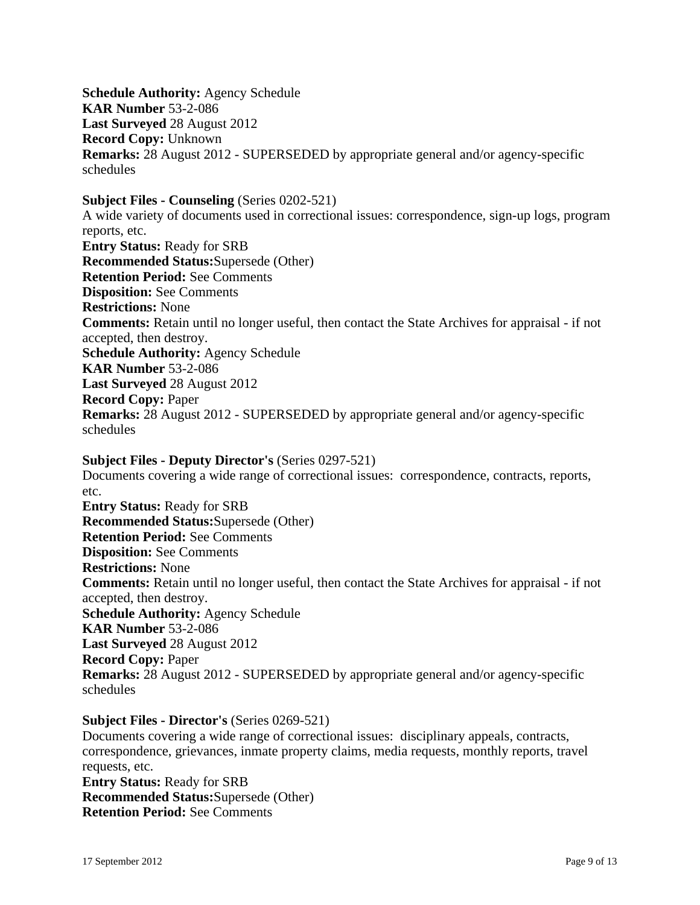**Schedule Authority:** Agency Schedule **KAR Number** 53-2-086 **Last Surveyed** 28 August 2012 **Record Copy:** Unknown **Remarks:** 28 August 2012 - SUPERSEDED by appropriate general and/or agency-specific schedules

**Subject Files - Counseling** (Series 0202-521) A wide variety of documents used in correctional issues: correspondence, sign-up logs, program reports, etc. **Entry Status:** Ready for SRB **Recommended Status:**Supersede (Other) **Retention Period:** See Comments **Disposition:** See Comments **Restrictions:** None **Comments:** Retain until no longer useful, then contact the State Archives for appraisal - if not accepted, then destroy. **Schedule Authority:** Agency Schedule **KAR Number** 53-2-086 **Last Surveyed** 28 August 2012 **Record Copy:** Paper **Remarks:** 28 August 2012 - SUPERSEDED by appropriate general and/or agency-specific schedules

**Subject Files - Deputy Director's** (Series 0297-521) Documents covering a wide range of correctional issues: correspondence, contracts, reports, etc. **Entry Status:** Ready for SRB **Recommended Status:**Supersede (Other) **Retention Period:** See Comments **Disposition:** See Comments **Restrictions:** None **Comments:** Retain until no longer useful, then contact the State Archives for appraisal - if not accepted, then destroy. **Schedule Authority:** Agency Schedule **KAR Number** 53-2-086 **Last Surveyed** 28 August 2012 **Record Copy:** Paper **Remarks:** 28 August 2012 - SUPERSEDED by appropriate general and/or agency-specific schedules

#### **Subject Files - Director's** (Series 0269-521)

Documents covering a wide range of correctional issues: disciplinary appeals, contracts, correspondence, grievances, inmate property claims, media requests, monthly reports, travel requests, etc. **Entry Status:** Ready for SRB **Recommended Status:**Supersede (Other) **Retention Period:** See Comments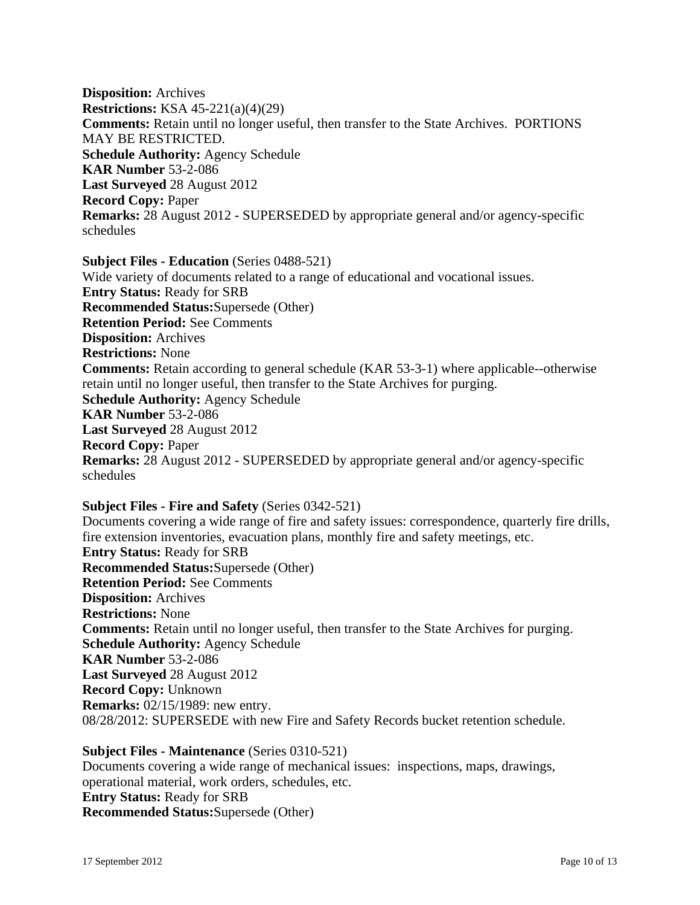**Disposition:** Archives **Restrictions:** KSA 45-221(a)(4)(29) **Comments:** Retain until no longer useful, then transfer to the State Archives. PORTIONS MAY BE RESTRICTED. **Schedule Authority:** Agency Schedule **KAR Number** 53-2-086 **Last Surveyed** 28 August 2012 **Record Copy:** Paper **Remarks:** 28 August 2012 - SUPERSEDED by appropriate general and/or agency-specific schedules

**Subject Files - Education** (Series 0488-521) Wide variety of documents related to a range of educational and vocational issues. **Entry Status:** Ready for SRB **Recommended Status:**Supersede (Other) **Retention Period:** See Comments **Disposition:** Archives **Restrictions:** None **Comments:** Retain according to general schedule (KAR 53-3-1) where applicable--otherwise retain until no longer useful, then transfer to the State Archives for purging. **Schedule Authority:** Agency Schedule **KAR Number** 53-2-086 **Last Surveyed** 28 August 2012 **Record Copy:** Paper **Remarks:** 28 August 2012 - SUPERSEDED by appropriate general and/or agency-specific schedules

**Subject Files - Fire and Safety** (Series 0342-521) Documents covering a wide range of fire and safety issues: correspondence, quarterly fire drills, fire extension inventories, evacuation plans, monthly fire and safety meetings, etc. **Entry Status:** Ready for SRB **Recommended Status:**Supersede (Other) **Retention Period:** See Comments **Disposition:** Archives **Restrictions:** None **Comments:** Retain until no longer useful, then transfer to the State Archives for purging. **Schedule Authority:** Agency Schedule **KAR Number** 53-2-086 **Last Surveyed** 28 August 2012 **Record Copy:** Unknown **Remarks:** 02/15/1989: new entry. 08/28/2012: SUPERSEDE with new Fire and Safety Records bucket retention schedule.

**Subject Files - Maintenance** (Series 0310-521) Documents covering a wide range of mechanical issues: inspections, maps, drawings, operational material, work orders, schedules, etc. **Entry Status:** Ready for SRB **Recommended Status:**Supersede (Other)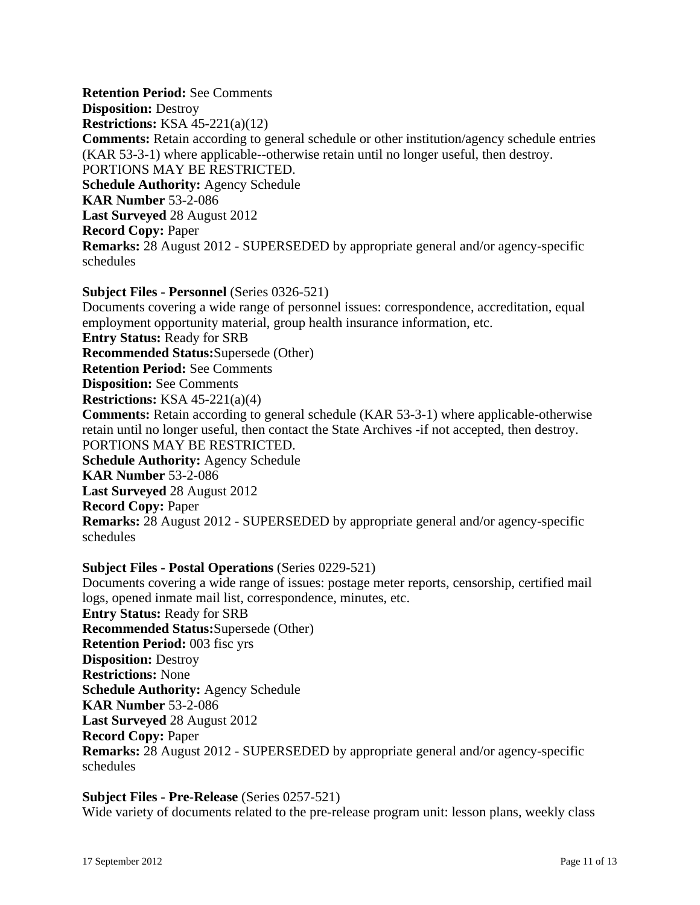**Retention Period:** See Comments **Disposition:** Destroy **Restrictions:** KSA 45-221(a)(12) **Comments:** Retain according to general schedule or other institution/agency schedule entries (KAR 53-3-1) where applicable--otherwise retain until no longer useful, then destroy. PORTIONS MAY BE RESTRICTED. **Schedule Authority:** Agency Schedule **KAR Number** 53-2-086 **Last Surveyed** 28 August 2012 **Record Copy:** Paper **Remarks:** 28 August 2012 - SUPERSEDED by appropriate general and/or agency-specific schedules

**Subject Files - Personnel** (Series 0326-521) Documents covering a wide range of personnel issues: correspondence, accreditation, equal employment opportunity material, group health insurance information, etc. **Entry Status:** Ready for SRB **Recommended Status:**Supersede (Other) **Retention Period:** See Comments **Disposition:** See Comments **Restrictions:** KSA 45-221(a)(4) **Comments:** Retain according to general schedule (KAR 53-3-1) where applicable-otherwise retain until no longer useful, then contact the State Archives -if not accepted, then destroy. PORTIONS MAY BE RESTRICTED. **Schedule Authority:** Agency Schedule **KAR Number** 53-2-086 **Last Surveyed** 28 August 2012 **Record Copy:** Paper **Remarks:** 28 August 2012 - SUPERSEDED by appropriate general and/or agency-specific schedules

### **Subject Files - Postal Operations** (Series 0229-521)

Documents covering a wide range of issues: postage meter reports, censorship, certified mail logs, opened inmate mail list, correspondence, minutes, etc. **Entry Status:** Ready for SRB **Recommended Status:**Supersede (Other) **Retention Period:** 003 fisc yrs **Disposition:** Destroy **Restrictions:** None **Schedule Authority:** Agency Schedule **KAR Number** 53-2-086 **Last Surveyed** 28 August 2012 **Record Copy:** Paper **Remarks:** 28 August 2012 - SUPERSEDED by appropriate general and/or agency-specific schedules

### **Subject Files - Pre-Release** (Series 0257-521)

Wide variety of documents related to the pre-release program unit: lesson plans, weekly class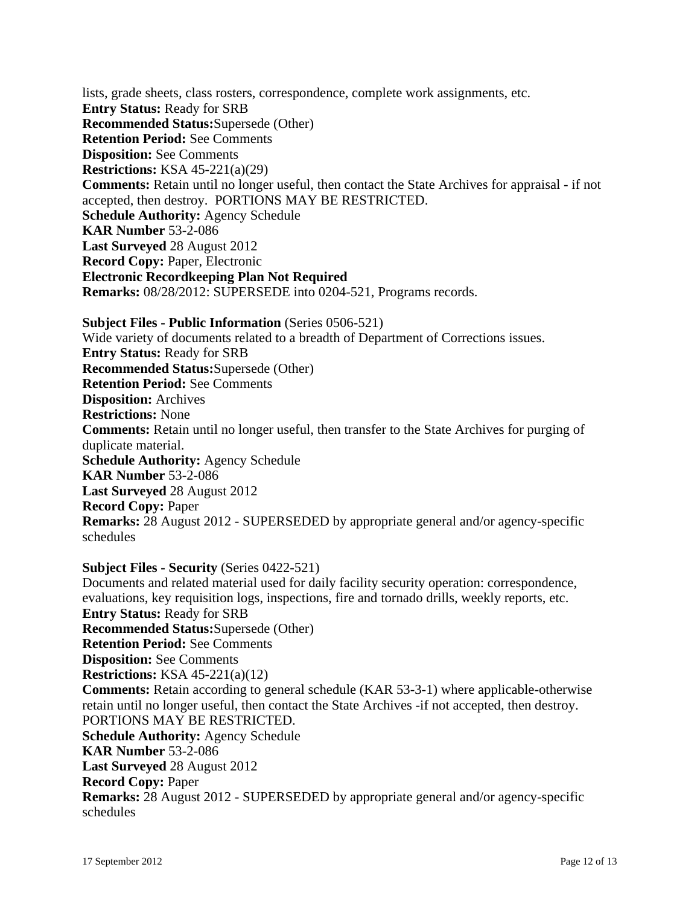lists, grade sheets, class rosters, correspondence, complete work assignments, etc. **Entry Status:** Ready for SRB **Recommended Status:**Supersede (Other) **Retention Period:** See Comments **Disposition:** See Comments **Restrictions:** KSA 45-221(a)(29) **Comments:** Retain until no longer useful, then contact the State Archives for appraisal - if not accepted, then destroy. PORTIONS MAY BE RESTRICTED. **Schedule Authority:** Agency Schedule **KAR Number** 53-2-086 **Last Surveyed** 28 August 2012 **Record Copy:** Paper, Electronic **Electronic Recordkeeping Plan Not Required Remarks:** 08/28/2012: SUPERSEDE into 0204-521, Programs records.

**Subject Files - Public Information** (Series 0506-521) Wide variety of documents related to a breadth of Department of Corrections issues. **Entry Status:** Ready for SRB **Recommended Status:**Supersede (Other) **Retention Period:** See Comments **Disposition:** Archives **Restrictions:** None **Comments:** Retain until no longer useful, then transfer to the State Archives for purging of duplicate material. **Schedule Authority:** Agency Schedule **KAR Number** 53-2-086 **Last Surveyed** 28 August 2012 **Record Copy:** Paper **Remarks:** 28 August 2012 - SUPERSEDED by appropriate general and/or agency-specific schedules

**Subject Files - Security** (Series 0422-521)

Documents and related material used for daily facility security operation: correspondence, evaluations, key requisition logs, inspections, fire and tornado drills, weekly reports, etc. **Entry Status:** Ready for SRB **Recommended Status:**Supersede (Other) **Retention Period:** See Comments **Disposition:** See Comments **Restrictions:** KSA 45-221(a)(12) **Comments:** Retain according to general schedule (KAR 53-3-1) where applicable-otherwise retain until no longer useful, then contact the State Archives -if not accepted, then destroy. PORTIONS MAY BE RESTRICTED. **Schedule Authority:** Agency Schedule **KAR Number** 53-2-086 **Last Surveyed** 28 August 2012 **Record Copy:** Paper **Remarks:** 28 August 2012 - SUPERSEDED by appropriate general and/or agency-specific schedules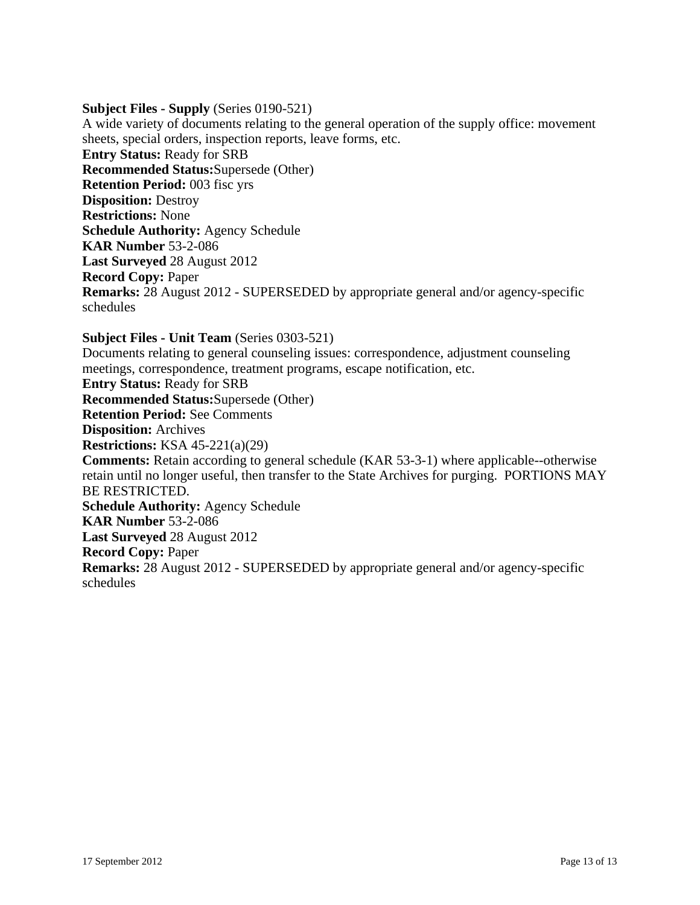## **Subject Files - Supply** (Series 0190-521)

A wide variety of documents relating to the general operation of the supply office: movement sheets, special orders, inspection reports, leave forms, etc. **Entry Status:** Ready for SRB **Recommended Status:**Supersede (Other) **Retention Period:** 003 fisc yrs **Disposition:** Destroy **Restrictions:** None **Schedule Authority:** Agency Schedule **KAR Number** 53-2-086 **Last Surveyed** 28 August 2012 **Record Copy:** Paper **Remarks:** 28 August 2012 - SUPERSEDED by appropriate general and/or agency-specific schedules

**Subject Files - Unit Team** (Series 0303-521) Documents relating to general counseling issues: correspondence, adjustment counseling meetings, correspondence, treatment programs, escape notification, etc. **Entry Status:** Ready for SRB **Recommended Status:**Supersede (Other) **Retention Period:** See Comments **Disposition:** Archives **Restrictions:** KSA 45-221(a)(29) **Comments:** Retain according to general schedule (KAR 53-3-1) where applicable--otherwise retain until no longer useful, then transfer to the State Archives for purging. PORTIONS MAY BE RESTRICTED. **Schedule Authority:** Agency Schedule **KAR Number** 53-2-086 **Last Surveyed** 28 August 2012 **Record Copy:** Paper **Remarks:** 28 August 2012 - SUPERSEDED by appropriate general and/or agency-specific schedules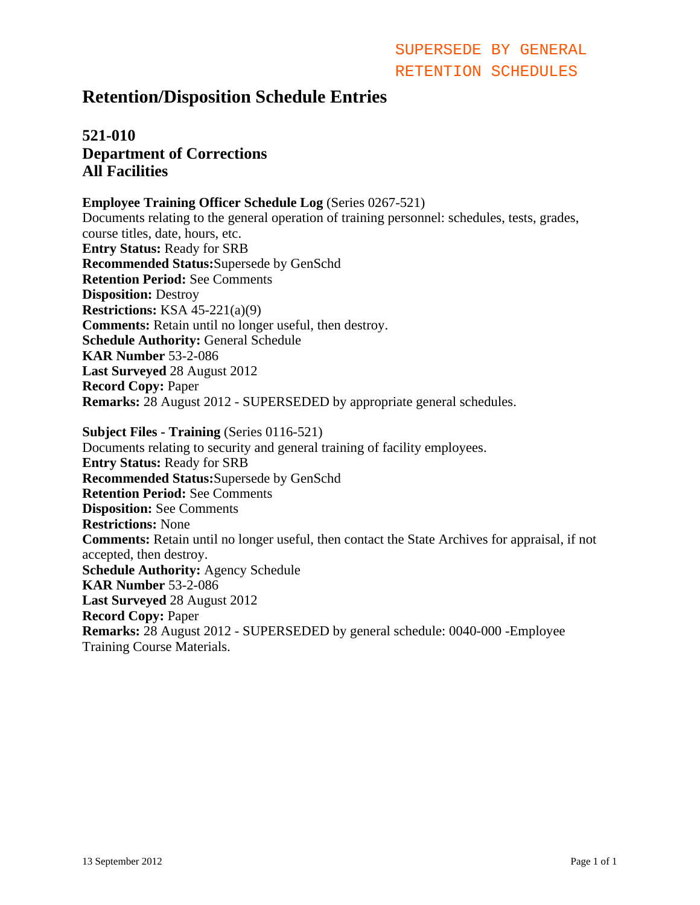## **Retention/Disposition Schedule Entries**

## **521-010 Department of Corrections All Facilities**

### **Employee Training Officer Schedule Log** (Series 0267-521)

Documents relating to the general operation of training personnel: schedules, tests, grades, course titles, date, hours, etc. **Entry Status:** Ready for SRB **Recommended Status:**Supersede by GenSchd **Retention Period:** See Comments **Disposition:** Destroy **Restrictions:** KSA 45-221(a)(9) **Comments:** Retain until no longer useful, then destroy. **Schedule Authority:** General Schedule **KAR Number** 53-2-086 **Last Surveyed** 28 August 2012 **Record Copy:** Paper **Remarks:** 28 August 2012 - SUPERSEDED by appropriate general schedules.

**Subject Files - Training** (Series 0116-521) Documents relating to security and general training of facility employees. **Entry Status:** Ready for SRB **Recommended Status:**Supersede by GenSchd **Retention Period:** See Comments **Disposition:** See Comments **Restrictions:** None **Comments:** Retain until no longer useful, then contact the State Archives for appraisal, if not accepted, then destroy. **Schedule Authority:** Agency Schedule **KAR Number** 53-2-086 **Last Surveyed** 28 August 2012 **Record Copy:** Paper **Remarks:** 28 August 2012 - SUPERSEDED by general schedule: 0040-000 -Employee Training Course Materials. SUPERSIDE BY GENERAL<br>
SEPTENT ISON SCHOON SCHOON CRETENTION SCHEDULES<br>
201-010<br>
2012 Page 100 Corrections<br>
All Facilities<br>
Employer Freshing Office Schoolarly Lag (Society 0.267.521)<br>
All Facilities<br>
Examplement the discus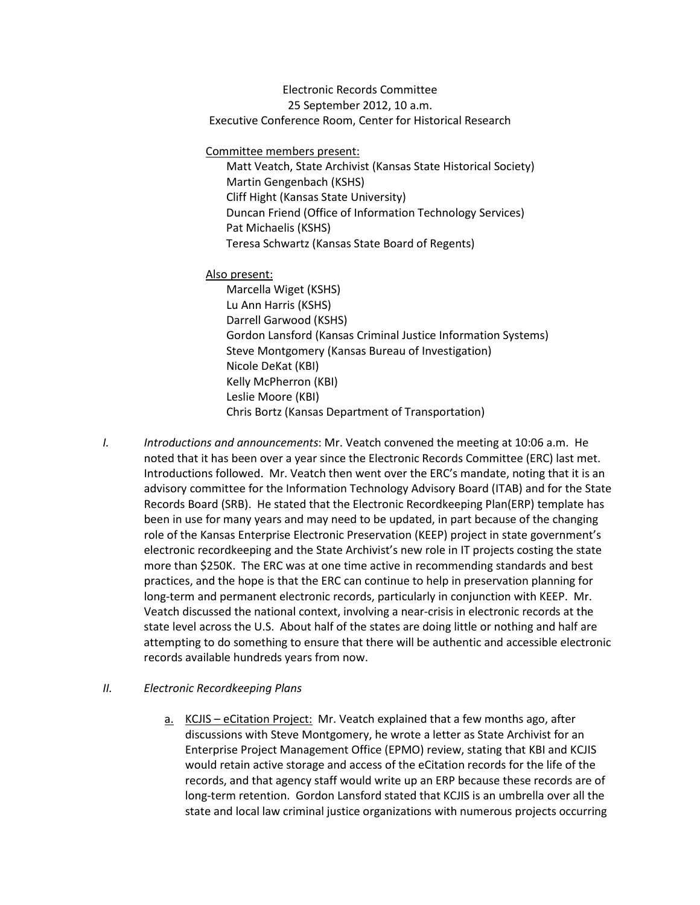Electronic Records Committee 25 September 2012, 10 a.m. Executive Conference Room, Center for Historical Research

Committee members present:

Matt Veatch, State Archivist (Kansas State Historical Society) Martin Gengenbach (KSHS) Cliff Hight (Kansas State University) Duncan Friend (Office of Information Technology Services) Pat Michaelis (KSHS) Teresa Schwartz (Kansas State Board of Regents)

#### Also present:

Marcella Wiget (KSHS) Lu Ann Harris (KSHS) Darrell Garwood (KSHS) Gordon Lansford (Kansas Criminal Justice Information Systems) Steve Montgomery (Kansas Bureau of Investigation) Nicole DeKat (KBI) Kelly McPherron (KBI) Leslie Moore (KBI) Chris Bortz (Kansas Department of Transportation)

*I. Introductions and announcements*: Mr. Veatch convened the meeting at 10:06 a.m. He noted that it has been over a year since the Electronic Records Committee (ERC) last met. Introductions followed. Mr. Veatch then went over the ERC's mandate, noting that it is an advisory committee for the Information Technology Advisory Board (ITAB) and for the State Records Board (SRB). He stated that the Electronic Recordkeeping Plan(ERP) template has been in use for many years and may need to be updated, in part because of the changing role of the Kansas Enterprise Electronic Preservation (KEEP) project in state government's electronic recordkeeping and the State Archivist's new role in IT projects costing the state more than \$250K. The ERC was at one time active in recommending standards and best practices, and the hope is that the ERC can continue to help in preservation planning for long-term and permanent electronic records, particularly in conjunction with KEEP. Mr. Veatch discussed the national context, involving a near-crisis in electronic records at the state level across the U.S. About half of the states are doing little or nothing and half are attempting to do something to ensure that there will be authentic and accessible electronic records available hundreds years from now.

#### *II. Electronic Recordkeeping Plans*

a. KCJIS – eCitation Project: Mr. Veatch explained that a few months ago, after discussions with Steve Montgomery, he wrote a letter as State Archivist for an Enterprise Project Management Office (EPMO) review, stating that KBI and KCJIS would retain active storage and access of the eCitation records for the life of the records, and that agency staff would write up an ERP because these records are of long-term retention. Gordon Lansford stated that KCJIS is an umbrella over all the state and local law criminal justice organizations with numerous projects occurring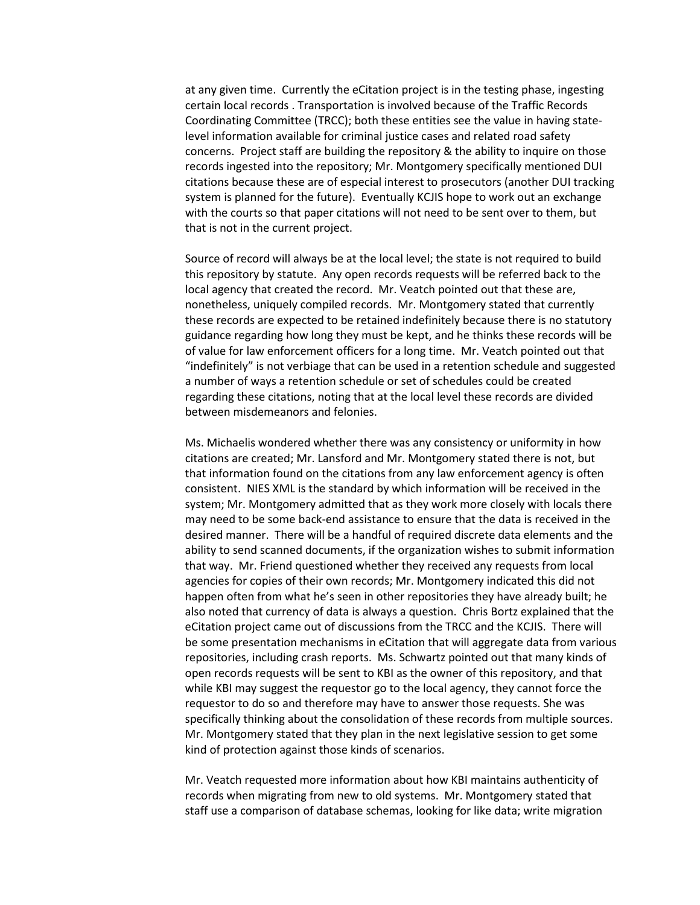at any given time. Currently the eCitation project is in the testing phase, ingesting certain local records . Transportation is involved because of the Traffic Records Coordinating Committee (TRCC); both these entities see the value in having statelevel information available for criminal justice cases and related road safety concerns. Project staff are building the repository & the ability to inquire on those records ingested into the repository; Mr. Montgomery specifically mentioned DUI citations because these are of especial interest to prosecutors (another DUI tracking system is planned for the future). Eventually KCJIS hope to work out an exchange with the courts so that paper citations will not need to be sent over to them, but that is not in the current project.

Source of record will always be at the local level; the state is not required to build this repository by statute. Any open records requests will be referred back to the local agency that created the record. Mr. Veatch pointed out that these are, nonetheless, uniquely compiled records. Mr. Montgomery stated that currently these records are expected to be retained indefinitely because there is no statutory guidance regarding how long they must be kept, and he thinks these records will be of value for law enforcement officers for a long time. Mr. Veatch pointed out that "indefinitely" is not verbiage that can be used in a retention schedule and suggested a number of ways a retention schedule or set of schedules could be created regarding these citations, noting that at the local level these records are divided between misdemeanors and felonies.

Ms. Michaelis wondered whether there was any consistency or uniformity in how citations are created; Mr. Lansford and Mr. Montgomery stated there is not, but that information found on the citations from any law enforcement agency is often consistent. NIES XML is the standard by which information will be received in the system; Mr. Montgomery admitted that as they work more closely with locals there may need to be some back-end assistance to ensure that the data is received in the desired manner. There will be a handful of required discrete data elements and the ability to send scanned documents, if the organization wishes to submit information that way. Mr. Friend questioned whether they received any requests from local agencies for copies of their own records; Mr. Montgomery indicated this did not happen often from what he's seen in other repositories they have already built; he also noted that currency of data is always a question. Chris Bortz explained that the eCitation project came out of discussions from the TRCC and the KCJIS. There will be some presentation mechanisms in eCitation that will aggregate data from various repositories, including crash reports. Ms. Schwartz pointed out that many kinds of open records requests will be sent to KBI as the owner of this repository, and that while KBI may suggest the requestor go to the local agency, they cannot force the requestor to do so and therefore may have to answer those requests. She was specifically thinking about the consolidation of these records from multiple sources. Mr. Montgomery stated that they plan in the next legislative session to get some kind of protection against those kinds of scenarios.

Mr. Veatch requested more information about how KBI maintains authenticity of records when migrating from new to old systems. Mr. Montgomery stated that staff use a comparison of database schemas, looking for like data; write migration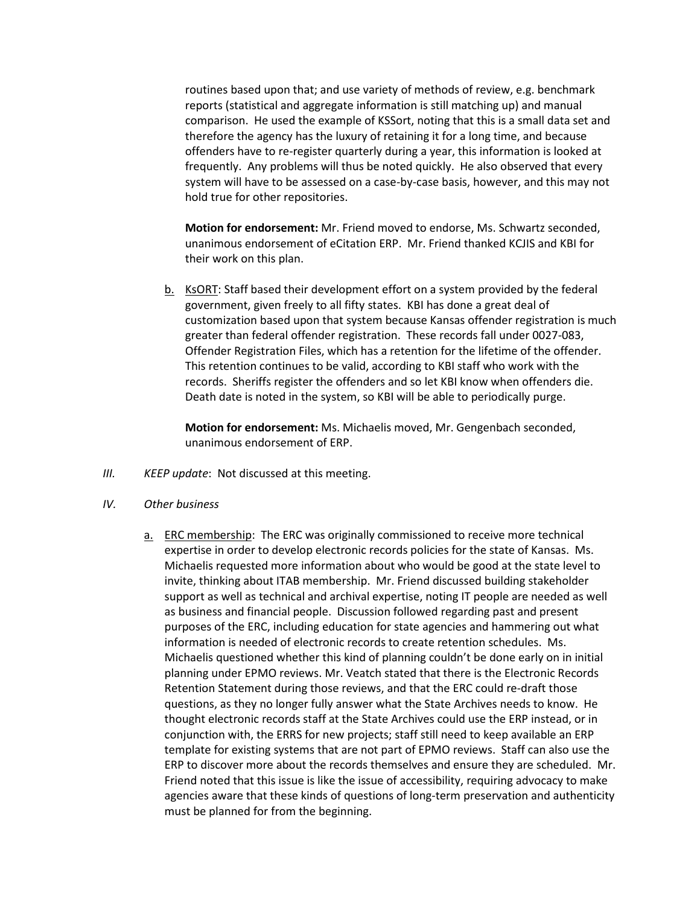routines based upon that; and use variety of methods of review, e.g. benchmark reports (statistical and aggregate information is still matching up) and manual comparison. He used the example of KSSort, noting that this is a small data set and therefore the agency has the luxury of retaining it for a long time, and because offenders have to re-register quarterly during a year, this information is looked at frequently. Any problems will thus be noted quickly. He also observed that every system will have to be assessed on a case-by-case basis, however, and this may not hold true for other repositories.

**Motion for endorsement:** Mr. Friend moved to endorse, Ms. Schwartz seconded, unanimous endorsement of eCitation ERP. Mr. Friend thanked KCJIS and KBI for their work on this plan.

b. KsORT: Staff based their development effort on a system provided by the federal government, given freely to all fifty states. KBI has done a great deal of customization based upon that system because Kansas offender registration is much greater than federal offender registration. These records fall under 0027-083, Offender Registration Files, which has a retention for the lifetime of the offender. This retention continues to be valid, according to KBI staff who work with the records. Sheriffs register the offenders and so let KBI know when offenders die. Death date is noted in the system, so KBI will be able to periodically purge.

**Motion for endorsement:** Ms. Michaelis moved, Mr. Gengenbach seconded, unanimous endorsement of ERP.

- *III. KEEP update*: Not discussed at this meeting.
- *IV. Other business*
	- a. ERC membership: The ERC was originally commissioned to receive more technical expertise in order to develop electronic records policies for the state of Kansas. Ms. Michaelis requested more information about who would be good at the state level to invite, thinking about ITAB membership. Mr. Friend discussed building stakeholder support as well as technical and archival expertise, noting IT people are needed as well as business and financial people. Discussion followed regarding past and present purposes of the ERC, including education for state agencies and hammering out what information is needed of electronic records to create retention schedules. Ms. Michaelis questioned whether this kind of planning couldn't be done early on in initial planning under EPMO reviews. Mr. Veatch stated that there is the Electronic Records Retention Statement during those reviews, and that the ERC could re-draft those questions, as they no longer fully answer what the State Archives needs to know. He thought electronic records staff at the State Archives could use the ERP instead, or in conjunction with, the ERRS for new projects; staff still need to keep available an ERP template for existing systems that are not part of EPMO reviews. Staff can also use the ERP to discover more about the records themselves and ensure they are scheduled. Mr. Friend noted that this issue is like the issue of accessibility, requiring advocacy to make agencies aware that these kinds of questions of long-term preservation and authenticity must be planned for from the beginning.